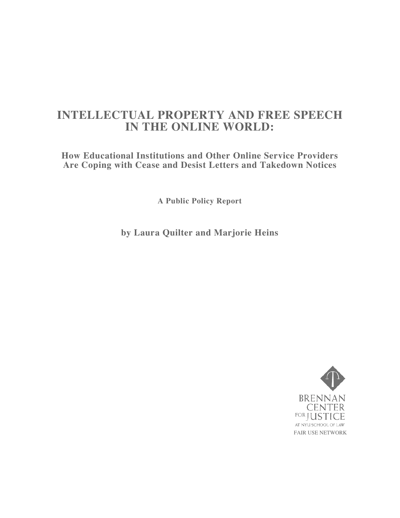# **INTELLECTUAL PROPERTY AND FREE SPEECH IN THE ONLINE WORLD:**

**How Educational Institutions and Other Online Service Providers Are Coping with Cease and Desist Letters and Takedown Notices**

**A Public Policy Report**

**by Laura Quilter and Marjorie Heins**

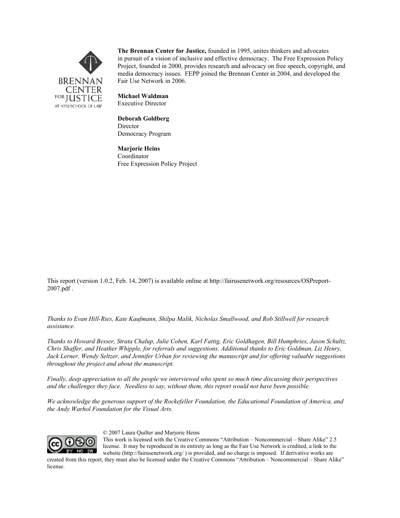

The Brennan Center for Justice, founded in 1995, unites thinkers and advocates in pursuit of a vision of inclusive and effective democracy. The Free Expression Policy Project, founded in 2000, provides research and advocacy on free speech, copyright, and media democracy issues. FEPP joined the Brennan Center in 2004, and developed the Fair Use Network in 2006.

Michael Waldman Executive Director

Deborah Goldberg Director Democracy Program

Marjorie Heins Coordinator Free Expression Policy Project

This report (version 1.0.2, Feb. 14, 2007) is available online at http://fairusenetwork.org/resources/OSPreport-2007.pdf .

*Thanks to Evan Hill-Ries, Kate Kaufmann, Shilpa Malik, Nicholas Smallwood, and Rob Stillwell for research assistance.*

*Thanks to Howard Besser, Strata Chalup, Julie Cohen, Karl Fattig, Eric Goldhagen, Bill Humphries, Jason Schultz, Chris Shaffer, and Heather Whipple, for referrals and suggestions. Additional thanks to Eric Goldman, Liz Henry, Jack Lerner, Wendy Seltzer, and Jennifer Urban for reviewing the manuscript and for offering valuable suggestions throughout the project and about the manuscript.*

*Finally, deep appreciation to all the people we interviewed who spent so much time discussing their perspectives and the challenges they face. Needless to say, without them, this report would not have been possible.*

*We acknowledge the generous support of the Rockefeller Foundation, the Educational Foundation of America, and the Andy Warhol Foundation for the Visual Arts.*



© 2007 Laura Quilter and Marjorie Heins

This work is licensed with the Creative Commons "Attribution – Noncommercial – Share Alike" 2.5 license. It may be reproduced in its entirety as long as the Fair Use Network is credited, a link to the website (http://fairusenetwork.org/ ) is provided, and no charge is imposed. If derivative works are

created from this report, they must also be licensed under the Creative Commons "Attribution – Noncommercial – Share Alike" license.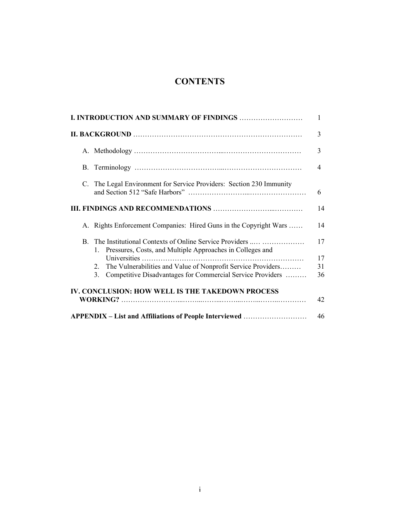## **CONTENTS**

|             |                                                                                                                           | 1  |
|-------------|---------------------------------------------------------------------------------------------------------------------------|----|
|             |                                                                                                                           | 3  |
|             |                                                                                                                           | 3  |
|             |                                                                                                                           | 4  |
| $C_{\cdot}$ | The Legal Environment for Service Providers: Section 230 Immunity                                                         | 6  |
|             |                                                                                                                           | 14 |
|             | A. Rights Enforcement Companies: Hired Guns in the Copyright Wars                                                         | 14 |
| B.          | The Institutional Contexts of Online Service Providers<br>Pressures, Costs, and Multiple Approaches in Colleges and<br>1. | 17 |
|             | Universities                                                                                                              | 17 |
|             | The Vulnerabilities and Value of Nonprofit Service Providers<br>2.                                                        | 31 |
|             | Competitive Disadvantages for Commercial Service Providers<br>3.                                                          | 36 |
|             | IV. CONCLUSION: HOW WELL IS THE TAKEDOWN PROCESS                                                                          |    |
|             |                                                                                                                           | 42 |
|             | APPENDIX - List and Affiliations of People Interviewed                                                                    | 46 |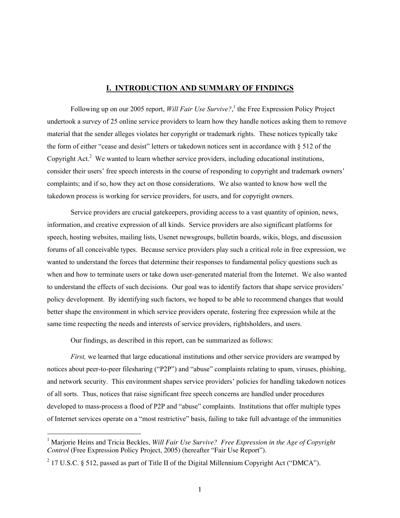## I. INTRODUCTION AND SUMMARY OF FINDINGS

Following up on our 2005 report, *Will Fair Use Survive*?,<sup>1</sup> the Free Expression Policy Project undertook a survey of 25 online service providers to learn how they handle notices asking them to remove material that the sender alleges violates her copyright or trademark rights. These notices typically take the form of either "cease and desist" letters or takedown notices sent in accordance with § 512 of the Copyright Act.<sup>2</sup> We wanted to learn whether service providers, including educational institutions, consider their users' free speech interests in the course of responding to copyright and trademark owners' complaints; and if so, how they act on those considerations. We also wanted to know how well the takedown process is working for service providers, for users, and for copyright owners.

Service providers are crucial gatekeepers, providing access to a vast quantity of opinion, news, information, and creative expression of all kinds. Service providers are also significant platforms for speech, hosting websites, mailing lists, Usenet newsgroups, bulletin boards, wikis, blogs, and discussion forums of all conceivable types. Because service providers play such a critical role in free expression, we wanted to understand the forces that determine their responses to fundamental policy questions such as when and how to terminate users or take down user-generated material from the Internet. We also wanted to understand the effects of such decisions. Our goal was to identify factors that shape service providers' policy development. By identifying such factors, we hoped to be able to recommend changes that would better shape the environment in which service providers operate, fostering free expression while at the same time respecting the needs and interests of service providers, rightsholders, and users.

Our findings, as described in this report, can be summarized as follows:

*First,* we learned that large educational institutions and other service providers are swamped by notices about peer-to-peer filesharing ("P2P") and "abuse" complaints relating to spam, viruses, phishing, and network security. This environment shapes service providers' policies for handling takedown notices of all sorts. Thus, notices that raise significant free speech concerns are handled under procedures developed to mass-process a flood of P2P and "abuse" complaints. Institutions that offer multiple types of Internet services operate on a "most restrictive" basis, failing to take full advantage of the immunities

 $\frac{1}{1}$ <sup>1</sup> Marjorie Heins and Tricia Beckles, *Will Fair Use Survive? Free Expression in the Age of Copyright Control* (Free Expression Policy Project, 2005) (hereafter "Fair Use Report").

 $2$  17 U.S.C. § 512, passed as part of Title II of the Digital Millennium Copyright Act ("DMCA").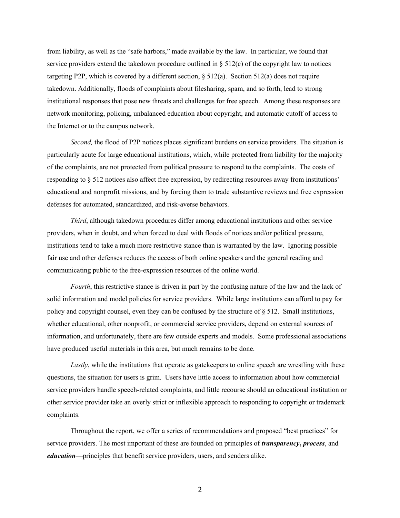from liability, as well as the "safe harbors," made available by the law. In particular, we found that service providers extend the takedown procedure outlined in  $\S 512(c)$  of the copyright law to notices targeting P2P, which is covered by a different section,  $\S 512(a)$ . Section 512(a) does not require takedown. Additionally, floods of complaints about filesharing, spam, and so forth, lead to strong institutional responses that pose new threats and challenges for free speech. Among these responses are network monitoring, policing, unbalanced education about copyright, and automatic cutoff of access to the Internet or to the campus network.

*Second,* the flood of P2P notices places significant burdens on service providers. The situation is particularly acute for large educational institutions, which, while protected from liability for the majority of the complaints, are not protected from political pressure to respond to the complaints. The costs of responding to § 512 notices also affect free expression, by redirecting resources away from institutions' educational and nonprofit missions, and by forcing them to trade substantive reviews and free expression defenses for automated, standardized, and risk-averse behaviors.

*Third*, although takedown procedures differ among educational institutions and other service providers, when in doubt, and when forced to deal with floods of notices and/or political pressure, institutions tend to take a much more restrictive stance than is warranted by the law. Ignoring possible fair use and other defenses reduces the access of both online speakers and the general reading and communicating public to the free-expression resources of the online world.

*Fourth*, this restrictive stance is driven in part by the confusing nature of the law and the lack of solid information and model policies for service providers. While large institutions can afford to pay for policy and copyright counsel, even they can be confused by the structure of § 512. Small institutions, whether educational, other nonprofit, or commercial service providers, depend on external sources of information, and unfortunately, there are few outside experts and models. Some professional associations have produced useful materials in this area, but much remains to be done.

*Lastly*, while the institutions that operate as gatekeepers to online speech are wrestling with these questions, the situation for users is grim. Users have little access to information about how commercial service providers handle speech-related complaints, and little recourse should an educational institution or other service provider take an overly strict or inflexible approach to responding to copyright or trademark complaints.

Throughout the report, we offer a series of recommendations and proposed "best practices" for service providers. The most important of these are founded on principles of *transparency*, *process*, and *education*—principles that benefit service providers, users, and senders alike.

 $\mathcal{D}_{\mathcal{L}}$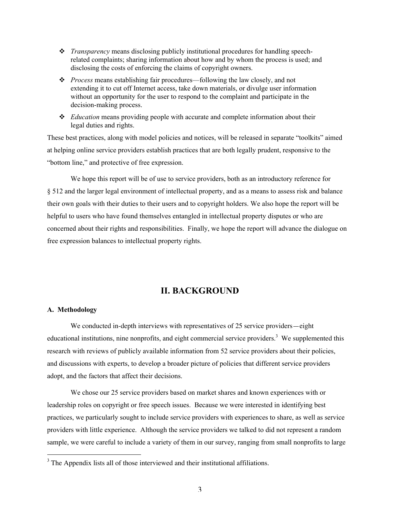- *Transparency* means disclosing publicly institutional procedures for handling speechrelated complaints; sharing information about how and by whom the process is used; and disclosing the costs of enforcing the claims of copyright owners.
- *Process* means establishing fair procedures—following the law closely, and not extending it to cut off Internet access, take down materials, or divulge user information without an opportunity for the user to respond to the complaint and participate in the decision-making process.
- *Education* means providing people with accurate and complete information about their legal duties and rights.

These best practices, along with model policies and notices, will be released in separate "toolkits" aimed at helping online service providers establish practices that are both legally prudent, responsive to the "bottom line," and protective of free expression.

We hope this report will be of use to service providers, both as an introductory reference for § 512 and the larger legal environment of intellectual property, and as a means to assess risk and balance their own goals with their duties to their users and to copyright holders. We also hope the report will be helpful to users who have found themselves entangled in intellectual property disputes or who are concerned about their rights and responsibilities. Finally, we hope the report will advance the dialogue on free expression balances to intellectual property rights.

## II. BACKGROUND

## A. Methodology

We conducted in-depth interviews with representatives of 25 service providers—eight educational institutions, nine nonprofits, and eight commercial service providers.<sup>3</sup> We supplemented this research with reviews of publicly available information from 52 service providers about their policies, and discussions with experts, to develop a broader picture of policies that different service providers adopt, and the factors that affect their decisions.

We chose our 25 service providers based on market shares and known experiences with or leadership roles on copyright or free speech issues. Because we were interested in identifying best practices, we particularly sought to include service providers with experiences to share, as well as service providers with little experience. Although the service providers we talked to did not represent a random sample, we were careful to include a variety of them in our survey, ranging from small nonprofits to large

<sup>&</sup>lt;sup>2</sup><br>3 <sup>3</sup> The Appendix lists all of those interviewed and their institutional affiliations.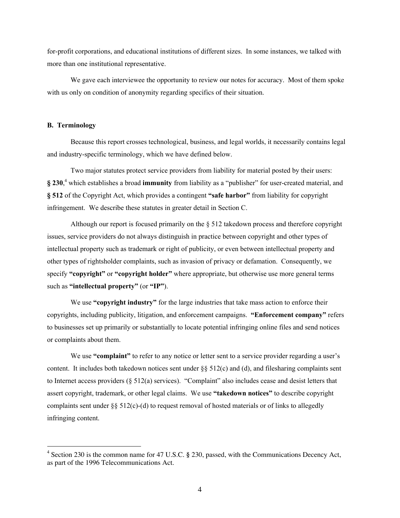for-profit corporations, and educational institutions of different sizes. In some instances, we talked with more than one institutional representative.

We gave each interviewee the opportunity to review our notes for accuracy. Most of them spoke with us only on condition of anonymity regarding specifics of their situation.

#### B. Terminology

Because this report crosses technological, business, and legal worlds, it necessarily contains legal and industry-specific terminology, which we have defined below.

Two major statutes protect service providers from liability for material posted by their users:  $\S 230<sup>4</sup>$  which establishes a broad immunity from liability as a "publisher" for user-created material, and § 512 of the Copyright Act, which provides a contingent "safe harbor" from liability for copyright infringement. We describe these statutes in greater detail in Section C.

Although our report is focused primarily on the § 512 takedown process and therefore copyright issues, service providers do not always distinguish in practice between copyright and other types of intellectual property such as trademark or right of publicity, or even between intellectual property and other types of rightsholder complaints, such as invasion of privacy or defamation. Consequently, we specify "copyright" or "copyright holder" where appropriate, but otherwise use more general terms such as "intellectual property" (or "IP").

We use "copyright industry" for the large industries that take mass action to enforce their copyrights, including publicity, litigation, and enforcement campaigns. "Enforcement company" refers to businesses set up primarily or substantially to locate potential infringing online files and send notices or complaints about them.

We use "complaint" to refer to any notice or letter sent to a service provider regarding a user's content. It includes both takedown notices sent under  $\S$  512(c) and (d), and filesharing complaints sent to Internet access providers (§ 512(a) services). "Complaint" also includes cease and desist letters that assert copyright, trademark, or other legal claims. We use "takedown notices" to describe copyright complaints sent under §§ 512(c)-(d) to request removal of hosted materials or of links to allegedly infringing content.

 $\frac{1}{4}$ <sup>4</sup> Section 230 is the common name for 47 U.S.C. § 230, passed, with the Communications Decency Act, as part of the 1996 Telecommunications Act.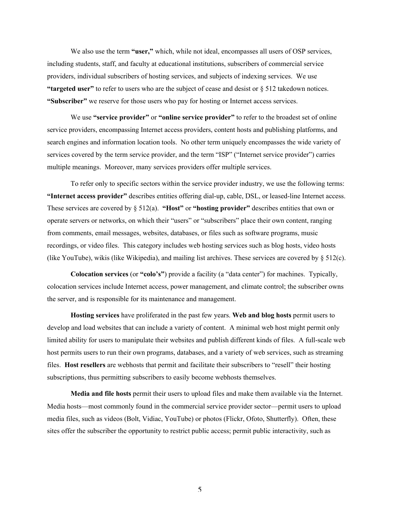We also use the term "user," which, while not ideal, encompasses all users of OSP services, including students, staff, and faculty at educational institutions, subscribers of commercial service providers, individual subscribers of hosting services, and subjects of indexing services. We use "targeted user" to refer to users who are the subject of cease and desist or  $\S 512$  takedown notices. "Subscriber" we reserve for those users who pay for hosting or Internet access services.

We use "service provider" or "online service provider" to refer to the broadest set of online service providers, encompassing Internet access providers, content hosts and publishing platforms, and search engines and information location tools. No other term uniquely encompasses the wide variety of services covered by the term service provider, and the term "ISP" ("Internet service provider") carries multiple meanings. Moreover, many services providers offer multiple services.

To refer only to specific sectors within the service provider industry, we use the following terms: "Internet access provider" describes entities offering dial-up, cable, DSL, or leased-line Internet access. These services are covered by  $\S 512(a)$ . "Host" or "hosting provider" describes entities that own or operate servers or networks, on which their "users" or "subscribers" place their own content, ranging from comments, email messages, websites, databases, or files such as software programs, music recordings, or video files. This category includes web hosting services such as blog hosts, video hosts (like YouTube), wikis (like Wikipedia), and mailing list archives. These services are covered by  $\S 512(c)$ .

Colocation services (or "colo's") provide a facility (a "data center") for machines. Typically, colocation services include Internet access, power management, and climate control; the subscriber owns the server, and is responsible for its maintenance and management.

Hosting services have proliferated in the past few years. Web and blog hosts permit users to develop and load websites that can include a variety of content. A minimal web host might permit only limited ability for users to manipulate their websites and publish different kinds of files. A full-scale web host permits users to run their own programs, databases, and a variety of web services, such as streaming files. Host resellers are webhosts that permit and facilitate their subscribers to "resell" their hosting subscriptions, thus permitting subscribers to easily become webhosts themselves.

Media and file hosts permit their users to upload files and make them available via the Internet. Media hosts—most commonly found in the commercial service provider sector—permit users to upload media files, such as videos (Bolt, Vidiac, YouTube) or photos (Flickr, Ofoto, Shutterfly). Often, these sites offer the subscriber the opportunity to restrict public access; permit public interactivity, such as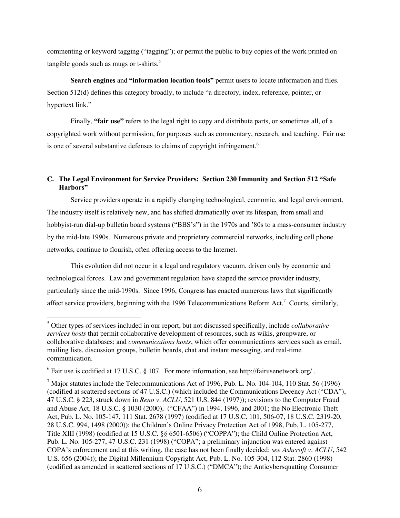commenting or keyword tagging ("tagging"); or permit the public to buy copies of the work printed on tangible goods such as mugs or t-shirts. $5$ 

Search engines and "information location tools" permit users to locate information and files. Section 512(d) defines this category broadly, to include "a directory, index, reference, pointer, or hypertext link."

Finally, **"fair use"** refers to the legal right to copy and distribute parts, or sometimes all, of a copyrighted work without permission, for purposes such as commentary, research, and teaching. Fair use is one of several substantive defenses to claims of copyright infringement.<sup>6</sup>

## **C. The Legal Environment for Service Providers: Section 230 Immunity and Section 512** "Safe Harbors"

Service providers operate in a rapidly changing technological, economic, and legal environment. The industry itself is relatively new, and has shifted dramatically over its lifespan, from small and hobbyist-run dial-up bulletin board systems ("BBS's") in the 1970s and '80s to a mass-consumer industry by the mid-late 1990s. Numerous private and proprietary commercial networks, including cell phone networks, continue to flourish, often offering access to the Internet.

This evolution did not occur in a legal and regulatory vacuum, driven only by economic and technological forces. Law and government regulation have shaped the service provider industry, particularly since the mid-1990s. Since 1996, Congress has enacted numerous laws that significantly affect service providers, beginning with the 1996 Telecommunications Reform Act.<sup>7</sup> Courts, similarly,

5 Other types of services included in our report, but not discussed specifically, include *collaborative services hosts* that permit collaborative development of resources, such as wikis, groupware, or collaborative databases; and *communications hosts*, which offer communications services such as email, mailing lists, discussion groups, bulletin boards, chat and instant messaging, and real-time communication.

 $^6$  Fair use is codified at 17 U.S.C. § 107. For more information, see http://fairusenetwork.org/.

 $<sup>7</sup>$  Major statutes include the Telecommunications Act of 1996, Pub. L. No. 104-104, 110 Stat. 56 (1996)</sup> (codified at scattered sections of 47 U.S.C.) (which included the Communications Decency Act ("CDA"), 47 U.S.C. § 223, struck down in *Reno v. ACLU,* 521 U.S. 844 (1997)); revisions to the Computer Fraud and Abuse Act, 18 U.S.C. § 1030 (2000), ("CFAA") in 1994, 1996, and 2001; the No Electronic Theft Act, Pub. L. No. 105-147, 111 Stat. 2678 (1997) (codified at 17 U.S.C. 101, 506-07, 18 U.S.C. 2319-20, 28 U.S.C. 994, 1498 (2000)); the Children's Online Privacy Protection Act of 1998, Pub. L. 105-277, Title XIII (1998) (codified at 15 U.S.C. §§ 6501-6506) ("COPPA"); the Child Online Protection Act, Pub. L. No. 105-277, 47 U.S.C. 231 (1998) ("COPA"; a preliminary injunction was entered against COPA's enforcement and at this writing, the case has not been finally decided; *see Ashcroft v. ACLU*, 542 U.S. 656 (2004)); the Digital Millennium Copyright Act, Pub. L. No. 105-304, 112 Stat. 2860 (1998) (codified as amended in scattered sections of 17 U.S.C.) ("DMCA"); the Anticybersquatting Consumer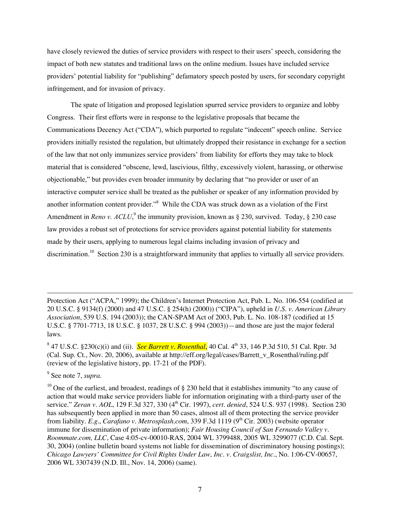have closely reviewed the duties of service providers with respect to their users' speech, considering the impact of both new statutes and traditional laws on the online medium. Issues have included service providers' potential liability for "publishing" defamatory speech posted by users, for secondary copyright infringement, and for invasion of privacy.

The spate of litigation and proposed legislation spurred service providers to organize and lobby Congress. Their first efforts were in response to the legislative proposals that became the Communications Decency Act ("CDA"), which purported to regulate "indecent" speech online. Service providers initially resisted the regulation, but ultimately dropped their resistance in exchange for a section of the law that not only immunizes service providers' from liability for efforts they may take to block material that is considered "obscene, lewd, lascivious, filthy, excessively violent, harassing, or otherwise objectionable," but provides even broader immunity by declaring that "no provider or user of an interactive computer service shall be treated as the publisher or speaker of any information provided by another information content provider."<sup>8</sup> While the CDA was struck down as a violation of the First Amendment in *Reno v. ACLU*,<sup>9</sup> the immunity provision, known as § 230, survived. Today, § 230 case law provides a robust set of protections for service providers against potential liability for statements made by their users, applying to numerous legal claims including invasion of privacy and discrimination.<sup>10</sup> Section 230 is a straightforward immunity that applies to virtually all service providers.

9 See note 7, *supra*.

 $\overline{a}$ 

Protection Act ("ACPA," 1999); the Children's Internet Protection Act, Pub. L. No. 106-554 (codified at 20 U.S.C. § 9134(f) (2000) and 47 U.S.C. § 254(h) (2000)) ("CIPA"), upheld in *U.S. v. American Library Association*, 539 U.S. 194 (2003)); the CAN-SPAM Act of 2003, Pub. L. No. 108-187 (codified at 15 U.S.C. § 7701-7713, 18 U.S.C. § 1037, 28 U.S.C. § 994 (2003))—and those are just the major federal laws.

<sup>&</sup>lt;sup>8</sup> 47 U.S.C. §230(c)(i) and (ii). *See Barrett v. Rosenthal*, 40 Cal. 4<sup>th</sup> 33, 146 P.3d 510, 51 Cal. Rptr. 3d (Cal. Sup. Ct., Nov. 20, 2006), available at http://eff.org/legal/cases/Barrett\_v\_Rosenthal/ruling.pdf (review of the legislative history, pp. 17-21 of the PDF).

 $10$  One of the earliest, and broadest, readings of § 230 held that it establishes immunity "to any cause of action that would make service providers liable for information originating with a third-party user of the service." *Zeran v. AOL*, 129 F.3d 327, 330 (4<sup>th</sup> Cir. 1997), *cert. denied*, 524 U.S. 937 (1998). Section 230 has subsequently been applied in more than 50 cases, almost all of them protecting the service provider from liability. *E.g.*, *Carafano v. Metrosplash.com*, 339 F.3d 1119 (9<sup>th</sup> Cir. 2003) (website operator immune for dissemination of private information); *Fair Housing Council of San Fernando Valley v. Roommate.com, LLC*, Case 4:05-cv-00010-RAS, 2004 WL 3799488, 2005 WL 3299077 (C.D. Cal. Sept. 30, 2004) (online bulletin board systems not liable for dissemination of discriminatory housing postings); *Chicago Lawyers' Committee for Civil Rights Under Law, Inc. v. Craigslist, Inc.*, No. 1:06-CV-00657, 2006 WL 3307439 (N.D. Ill., Nov. 14, 2006) (same).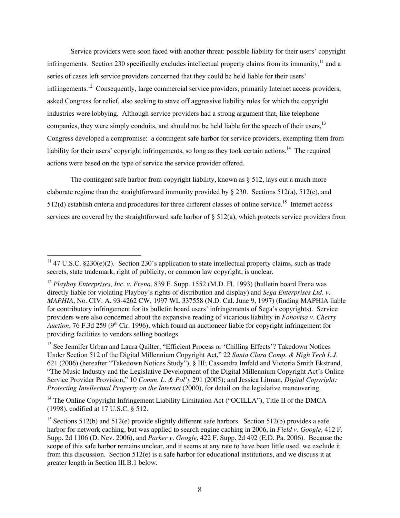Service providers were soon faced with another threat: possible liability for their users' copyright infringements. Section 230 specifically excludes intellectual property claims from its immunity,  $11$  and a series of cases left service providers concerned that they could be held liable for their users' infringements.<sup>12</sup> Consequently, large commercial service providers, primarily Internet access providers, asked Congress for relief, also seeking to stave off aggressive liability rules for which the copyright industries were lobbying. Although service providers had a strong argument that, like telephone companies, they were simply conduits, and should not be held liable for the speech of their users.<sup>13</sup> Congress developed a compromise: a contingent safe harbor for service providers, exempting them from liability for their users' copyright infringements, so long as they took certain actions.<sup>14</sup> The required actions were based on the type of service the service provider offered.

The contingent safe harbor from copyright liability, known as § 512, lays out a much more elaborate regime than the straightforward immunity provided by § 230. Sections 512(a), 512(c), and  $512(d)$  establish criteria and procedures for three different classes of online service.<sup>15</sup> Internet access services are covered by the straightforward safe harbor of § 512(a), which protects service providers from

<sup>14</sup> The Online Copyright Infringement Liability Limitation Act ("OCILLA"), Title II of the DMCA (1998), codified at 17 U.S.C. § 512.

<sup>&</sup>lt;sup>11</sup> 47 U.S.C. §230(e)(2). Section 230's application to state intellectual property claims, such as trade secrets, state trademark, right of publicity, or common law copyright, is unclear.

<sup>12</sup> *Playboy Enterprises, Inc. v. Frena*, 839 F. Supp. 1552 (M.D. Fl. 1993) (bulletin board Frena was directly liable for violating Playboy's rights of distribution and display) and *Sega Enterprises Ltd. v. MAPHIA*, No. CIV. A. 93-4262 CW, 1997 WL 337558 (N.D. Cal. June 9, 1997) (finding MAPHIA liable for contributory infringement for its bulletin board users' infringements of Sega's copyrights). Service providers were also concerned about the expansive reading of vicarious liability in *Fonovisa v. Cherry Auction*, 76 F.3d 259 (9<sup>th</sup> Cir. 1996), which found an auctioneer liable for copyright infringement for providing facilities to vendors selling bootlegs.

<sup>&</sup>lt;sup>13</sup> See Jennifer Urban and Laura Quilter, "Efficient Process or 'Chilling Effects'? Takedown Notices Under Section 512 of the Digital Millennium Copyright Act," 22 *Santa Clara Comp. & High Tech L.J.* 621 (2006) (hereafter "Takedown Notices Study"), § III; Cassandra Imfeld and Victoria Smith Ekstrand, "The Music Industry and the Legislative Development of the Digital Millennium Copyright Act's Online Service Provider Provision," 10 *Comm. L. & Pol'y* 291 (2005); and Jessica Litman, *Digital Copyright: Protecting Intellectual Property on the Internet* (2000), for detail on the legislative maneuvering.

<sup>&</sup>lt;sup>15</sup> Sections 512(b) and 512(e) provide slightly different safe harbors. Section 512(b) provides a safe harbor for network caching, but was applied to search engine caching in 2006, in *Field v. Google,* 412 F. Supp. 2d 1106 (D. Nev. 2006), and *Parker v. Google*, 422 F. Supp. 2d 492 (E.D. Pa. 2006). Because the scope of this safe harbor remains unclear, and it seems at any rate to have been little used, we exclude it from this discussion. Section 512(e) is a safe harbor for educational institutions, and we discuss it at greater length in Section III.B.1 below.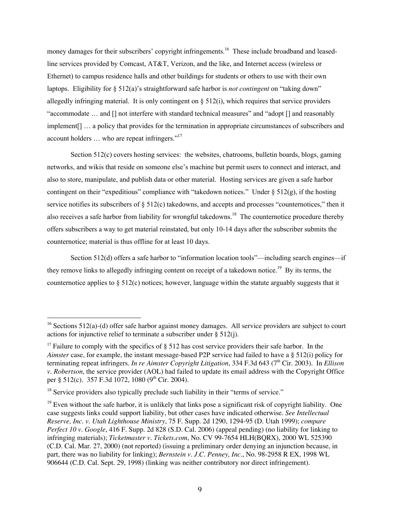money damages for their subscribers' copyright infringements.<sup>16</sup> These include broadband and leasedline services provided by Comcast, AT&T, Verizon, and the like, and Internet access (wireless or Ethernet) to campus residence halls and other buildings for students or others to use with their own laptops. Eligibility for § 512(a)'s straightforward safe harbor is *not contingent* on "taking down" allegedly infringing material. It is only contingent on  $\S 512(i)$ , which requires that service providers "accommodate … and [] not interfere with standard technical measures" and "adopt [] and reasonably implement[] … a policy that provides for the termination in appropriate circumstances of subscribers and account holders … who are repeat infringers."17

Section 512(c) covers hosting services: the websites, chatrooms, bulletin boards, blogs, gaming networks, and wikis that reside on someone else's machine but permit users to connect and interact, and also to store, manipulate, and publish data or other material. Hosting services are given a safe harbor contingent on their "expeditious" compliance with "takedown notices." Under  $\S 512(g)$ , if the hosting service notifies its subscribers of § 512(c) takedowns, and accepts and processes "counternotices," then it also receives a safe harbor from liability for wrongful takedowns.<sup>18</sup> The counternotice procedure thereby offers subscribers a way to get material reinstated, but only 10-14 days after the subscriber submits the counternotice; material is thus offline for at least 10 days.

Section 512(d) offers a safe harbor to "information location tools"—including search engines—if they remove links to allegedly infringing content on receipt of a takedown notice.<sup>19</sup> By its terms, the counternotice applies to  $\S 512(c)$  notices; however, language within the statute arguably suggests that it

<sup>&</sup>lt;sup>16</sup> Sections 512(a)-(d) offer safe harbor against money damages. All service providers are subject to court actions for injunctive relief to terminate a subscriber under § 512(j).

<sup>&</sup>lt;sup>17</sup> Failure to comply with the specifics of  $\S$  512 has cost service providers their safe harbor. In the *Aimster* case, for example, the instant message-based P2P service had failed to have a § 512(i) policy for terminating repeat infringers. *In re Aimster Copyright Litigation*, 334 F.3d 643 (7<sup>th</sup> Cir. 2003). In *Ellison v. Robertson*, the service provider (AOL) had failed to update its email address with the Copyright Office per § 512(c). 357 F.3d 1072, 1080 (9<sup>th</sup> Cir. 2004).

 $18$  Service providers also typically preclude such liability in their "terms of service."

<sup>&</sup>lt;sup>19</sup> Even without the safe harbor, it is unlikely that links pose a significant risk of copyright liability. One case suggests links could support liability, but other cases have indicated otherwise. *See Intellectual Reserve, Inc. v. Utah Lighthouse Ministry*, 75 F. Supp. 2d 1290, 1294-95 (D. Utah 1999); *compare Perfect 10 v. Google*, 416 F. Supp. 2d 828 (S.D. Cal. 2006) (appeal pending) (no liability for linking to infringing materials); *Ticketmaster v. Tickets.com*, No. CV 99-7654 HLH(BQRX), 2000 WL 525390 (C.D. Cal. Mar. 27, 2000) (not reported) (issuing a preliminary order denying an injunction because, in part, there was no liability for linking); *Bernstein v. J.C. Penney, Inc.*, No. 98-2958 R EX, 1998 WL 906644 (C.D. Cal. Sept. 29, 1998) (linking was neither contributory nor direct infringement).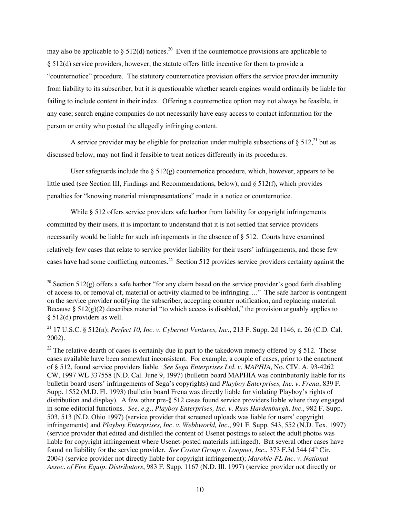may also be applicable to § 512(d) notices.<sup>20</sup> Even if the counternotice provisions are applicable to § 512(d) service providers, however, the statute offers little incentive for them to provide a "counternotice" procedure. The statutory counternotice provision offers the service provider immunity from liability to its subscriber; but it is questionable whether search engines would ordinarily be liable for failing to include content in their index. Offering a counternotice option may not always be feasible, in any case; search engine companies do not necessarily have easy access to contact information for the person or entity who posted the allegedly infringing content.

A service provider may be eligible for protection under multiple subsections of  $\S 512<sup>21</sup>$  but as discussed below, may not find it feasible to treat notices differently in its procedures.

User safeguards include the  $\S 512(g)$  counternotice procedure, which, however, appears to be little used (see Section III, Findings and Recommendations, below); and § 512(f), which provides penalties for "knowing material misrepresentations" made in a notice or counternotice.

While § 512 offers service providers safe harbor from liability for copyright infringements committed by their users, it is important to understand that it is not settled that service providers necessarily would be liable for such infringements in the absence of § 512. Courts have examined relatively few cases that relate to service provider liability for their users' infringements, and those few cases have had some conflicting outcomes.<sup>22</sup> Section 512 provides service providers certainty against the

<sup>&</sup>lt;sup>20</sup> Section 512(g) offers a safe harbor "for any claim based on the service provider's good faith disabling of access to, or removal of, material or activity claimed to be infringing…." The safe harbor is contingent on the service provider notifying the subscriber, accepting counter notification, and replacing material. Because §  $512(g)(2)$  describes material "to which access is disabled," the provision arguably applies to § 512(d) providers as well.

<sup>21</sup> 17 U.S.C. § 512(n); *Perfect 10, Inc. v. Cybernet Ventures, Inc.*, 213 F. Supp. 2d 1146, n. 26 (C.D. Cal. 2002).

<sup>&</sup>lt;sup>22</sup> The relative dearth of cases is certainly due in part to the takedown remedy offered by § 512. Those cases available have been somewhat inconsistent. For example, a couple of cases, prior to the enactment of § 512, found service providers liable. *See Sega Enterprises Ltd. v. MAPHIA*, No. CIV. A. 93-4262 CW, 1997 WL 337558 (N.D. Cal. June 9, 1997) (bulletin board MAPHIA was contributorily liable for its bulletin board users' infringements of Sega's copyrights) and *Playboy Enterprises, Inc. v. Frena*, 839 F. Supp. 1552 (M.D. Fl. 1993) (bulletin board Frena was directly liable for violating Playboy's rights of distribution and display). A few other pre-§ 512 cases found service providers liable where they engaged in some editorial functions. *See, e.g.*, *Playboy Enterprises, Inc. v. Russ Hardenburgh, Inc.*, 982 F. Supp. 503, 513 (N.D. Ohio 1997) (service provider that screened uploads was liable for users' copyright infringements) and *Playboy Enterprises, Inc. v. Webbworld, Inc.*, 991 F. Supp. 543, 552 (N.D. Tex. 1997) (service provider that edited and distilled the content of Usenet postings to select the adult photos was liable for copyright infringement where Usenet-posted materials infringed). But several other cases have found no liability for the service provider. *See Costar Group v. Loopnet, Inc.*, 373 F.3d 544 (4<sup>th</sup> Cir. 2004) (service provider not directly liable for copyright infringement); *Marobie-FL Inc. v. National Assoc. of Fire Equip. Distributors*, 983 F. Supp. 1167 (N.D. Ill. 1997) (service provider not directly or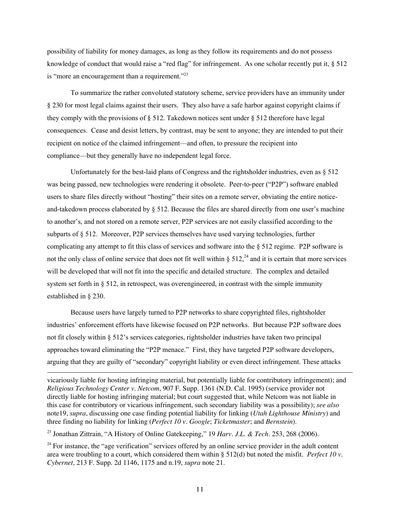possibility of liability for money damages, as long as they follow its requirements and do not possess knowledge of conduct that would raise a "red flag" for infringement. As one scholar recently put it, § 512 is "more an encouragement than a requirement."<sup>23</sup>

To summarize the rather convoluted statutory scheme, service providers have an immunity under § 230 for most legal claims against their users. They also have a safe harbor against copyright claims if they comply with the provisions of § 512. Takedown notices sent under § 512 therefore have legal consequences. Cease and desist letters, by contrast, may be sent to anyone; they are intended to put their recipient on notice of the claimed infringement—and often, to pressure the recipient into compliance—but they generally have no independent legal force.

Unfortunately for the best-laid plans of Congress and the rightsholder industries, even as  $\S 512$ was being passed, new technologies were rendering it obsolete. Peer-to-peer ("P2P") software enabled users to share files directly without "hosting" their sites on a remote server, obviating the entire noticeand-takedown process elaborated by § 512. Because the files are shared directly from one user's machine to another's, and not stored on a remote server, P2P services are not easily classified according to the subparts of § 512. Moreover, P2P services themselves have used varying technologies, further complicating any attempt to fit this class of services and software into the § 512 regime. P2P software is not the only class of online service that does not fit well within  $\S 512<sup>24</sup>$  and it is certain that more services will be developed that will not fit into the specific and detailed structure. The complex and detailed system set forth in § 512, in retrospect, was overengineered, in contrast with the simple immunity established in § 230.

Because users have largely turned to P2P networks to share copyrighted files, rightsholder industries' enforcement efforts have likewise focused on P2P networks. But because P2P software does not fit closely within § 512's services categories, rightsholder industries have taken two principal approaches toward eliminating the "P2P menace." First, they have targeted P2P software developers, arguing that they are guilty of "secondary" copyright liability or even direct infringement. These attacks

vicariously liable for hosting infringing material, but potentially liable for contributory infringement); and *Religious Technology Center v. Netcom*, 907 F. Supp. 1361 (N.D. Cal. 1995) (service provider not directly liable for hosting infringing material; but court suggested that, while Netcom was not liable in this case for contributory or vicarious infringement, such secondary liability was a possibility); *see also* note19, *supra*, discussing one case finding potential liability for linking (*Utah Lighthouse Ministry*) and three finding no liability for linking (*Perfect 10 v. Google*; *Ticketmaster*; and *Bernstein*).

23 Jonathan Zittrain, "A History of Online Gatekeeping," 19 *Harv. J.L. & Tech.* 253, 268 (2006).

 $\overline{a}$ 

<sup>24</sup> For instance, the "age verification" services offered by an online service provider in the adult content area were troubling to a court, which considered them within § 512(d) but noted the misfit. *Perfect 10 v. Cybernet*, 213 F. Supp. 2d 1146, 1175 and n.19, *supra* note 21.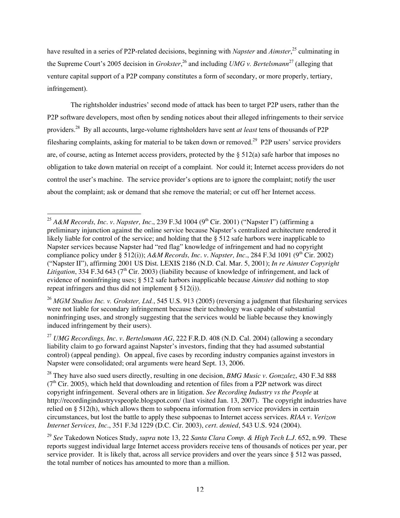have resulted in a series of P2P-related decisions, beginning with *Napster* and *Aimster*, 25 culminating in the Supreme Court's 2005 decision in *Grokster*, 26 and including *UMG v. Bertelsmann*<sup>27</sup> (alleging that venture capital support of a P2P company constitutes a form of secondary, or more properly, tertiary, infringement).

The rightsholder industries' second mode of attack has been to target P2P users, rather than the P2P software developers, most often by sending notices about their alleged infringements to their service providers.28 By all accounts, large-volume rightsholders have sent *at least* tens of thousands of P2P filesharing complaints, asking for material to be taken down or removed.<sup>29</sup> P2P users' service providers are, of course, acting as Internet access providers, protected by the § 512(a) safe harbor that imposes no obligation to take down material on receipt of a complaint. Nor could it; Internet access providers do not control the user's machine. The service provider's options are to ignore the complaint; notify the user about the complaint; ask or demand that she remove the material; or cut off her Internet access.

<sup>&</sup>lt;sup>25</sup> *A&M Records, Inc. v. Napster, Inc.,* 239 F.3d 1004 (9<sup>th</sup> Cir. 2001) ("Napster I") (affirming a preliminary injunction against the online service because Napster's centralized architecture rendered it likely liable for control of the service; and holding that the § 512 safe harbors were inapplicable to Napster services because Napster had "red flag" knowledge of infringement and had no copyright compliance policy under § 512(i));  $A\&M$  Records, Inc. v. Napster, Inc., 284 F.3d 1091 (9<sup>th</sup> Cir. 2002) ("Napster II"), affirming 2001 US Dist. LEXIS 2186 (N.D. Cal. Mar. 5, 2001); *In re Aimster Copyright Litigation*, 334 F.3d 643 ( $7<sup>th</sup>$  Cir. 2003) (liability because of knowledge of infringement, and lack of evidence of noninfringing uses; § 512 safe harbors inapplicable because *Aimster* did nothing to stop repeat infringers and thus did not implement § 512(i)).

<sup>&</sup>lt;sup>26</sup> *MGM Studios Inc. v. Grokster, Ltd.*, 545 U.S. 913 (2005) (reversing a judgment that filesharing services were not liable for secondary infringement because their technology was capable of substantial noninfringing uses, and strongly suggesting that the services would be liable because they knowingly induced infringement by their users).

<sup>27</sup> *UMG Recordings, Inc. v. Bertelsmann AG*, 222 F.R.D. 408 (N.D. Cal. 2004) (allowing a secondary liability claim to go forward against Napster's investors, finding that they had assumed substantial control) (appeal pending). On appeal, five cases by recording industry companies against investors in Napster were consolidated; oral arguments were heard Sept. 13, 2006.

<sup>28</sup> They have also sued users directly, resulting in one decision, *BMG Music v. Gonzalez*, 430 F.3d 888  $(7<sup>th</sup> Cir. 2005)$ , which held that downloading and retention of files from a P2P network was direct copyright infringement. Several others are in litigation. *See Recording Industry vs the People* at http://recordingindustryvspeople.blogspot.com/ (last visited Jan. 13, 2007). The copyright industries have relied on § 512(h), which allows them to subpoena information from service providers in certain circumstances, but lost the battle to apply these subpoenas to Internet access services. *RIAA v. Verizon Internet Services, Inc.*, 351 F.3d 1229 (D.C. Cir. 2003), *cert. denied*, 543 U.S. 924 (2004).

<sup>29</sup> *See* Takedown Notices Study, *supra* note 13, 22 *Santa Clara Comp. & High Tech L.J.* 652, n.99. These reports suggest individual large Internet access providers receive tens of thousands of notices per year, per service provider. It is likely that, across all service providers and over the years since § 512 was passed, the total number of notices has amounted to more than a million.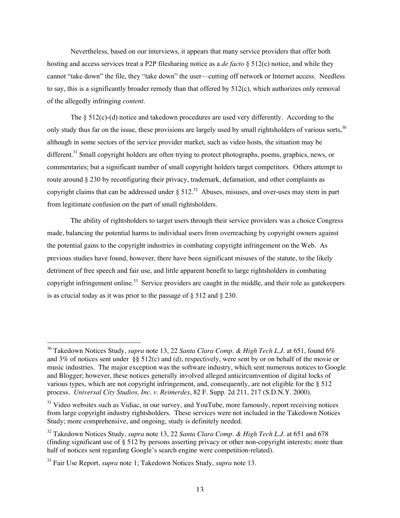Nevertheless, based on our interviews, it appears that many service providers that offer both hosting and access services treat a P2P filesharing notice as a *de facto* § 512(c) notice, and while they cannot "take down" the file, they "take down" the user—cutting off network or Internet access. Needless to say, this is a significantly broader remedy than that offered by 512(c), which authorizes only removal of the allegedly infringing *content*.

The  $\S 512(c)$ -(d) notice and takedown procedures are used very differently. According to the only study thus far on the issue, these provisions are largely used by small rightsholders of various sorts.<sup>30</sup> although in some sectors of the service provider market, such as video hosts, the situation may be different.<sup>31</sup> Small copyright holders are often trying to protect photographs, poems, graphics, news, or commentaries; but a significant number of small copyright holders target competitors. Others attempt to route around § 230 by reconfiguring their privacy, trademark, defamation, and other complaints as copyright claims that can be addressed under  $\S 512$ .<sup>32</sup> Abuses, misuses, and over-uses may stem in part from legitimate confusion on the part of small rightsholders.

The ability of rightsholders to target users through their service providers was a choice Congress made, balancing the potential harms to individual users from overreaching by copyright owners against the potential gains to the copyright industries in combating copyright infringement on the Web. As previous studies have found, however, there have been significant misuses of the statute, to the likely detriment of free speech and fair use, and little apparent benefit to large rightsholders in combating copyright infringement online.<sup>33</sup> Service providers are caught in the middle, and their role as gatekeepers is as crucial today as it was prior to the passage of  $\S$  512 and  $\S$  230.

30 Takedown Notices Study, *supra* note 13, 22 *Santa Clara Comp. & High Tech L.J.* at 651, found 6% and 3% of notices sent under §§ 512(c) and (d), respectively, were sent by or on behalf of the movie or music industries. The major exception was the software industry, which sent numerous notices to Google and Blogger; however, these notices generally involved alleged anticircumvention of digital locks of various types, which are not copyright infringement, and, consequently, are not eligible for the § 512 process. *Universal City Studios, Inc. v. Reimerdes*, 82 F. Supp. 2d 211, 217 (S.D.N.Y. 2000).

<sup>&</sup>lt;sup>31</sup> Video websites such as Vidiac, in our survey, and YouTube, more famously, report receiving notices from large copyright industry rightsholders. These services were not included in the Takedown Notices Study; more comprehensive, and ongoing, study is definitely needed.

<sup>32</sup> Takedown Notices Study, *supra* note 13, 22 *Santa Clara Comp. & High Tech L.J.* at 651 and 678 (finding significant use of  $\S 512$  by persons asserting privacy or other non-copyright interests; more than half of notices sent regarding Google's search engine were competition-related).

<sup>33</sup> Fair Use Report, *supra* note 1; Takedown Notices Study, *supra* note 13.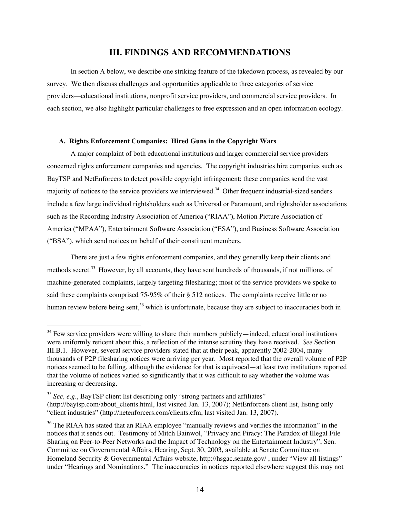## III. FINDINGS AND RECOMMENDATIONS

In section A below, we describe one striking feature of the takedown process, as revealed by our survey. We then discuss challenges and opportunities applicable to three categories of service providers—educational institutions, nonprofit service providers, and commercial service providers. In each section, we also highlight particular challenges to free expression and an open information ecology.

## A. Rights Enforcement Companies: Hired Guns in the Copyright Wars

A major complaint of both educational institutions and larger commercial service providers concerned rights enforcement companies and agencies. The copyright industries hire companies such as BayTSP and NetEnforcers to detect possible copyright infringement; these companies send the vast majority of notices to the service providers we interviewed.<sup>34</sup> Other frequent industrial-sized senders include a few large individual rightsholders such as Universal or Paramount, and rightsholder associations such as the Recording Industry Association of America ("RIAA"), Motion Picture Association of America ("MPAA"), Entertainment Software Association ("ESA"), and Business Software Association ("BSA"), which send notices on behalf of their constituent members.

There are just a few rights enforcement companies, and they generally keep their clients and methods secret.<sup>35</sup> However, by all accounts, they have sent hundreds of thousands, if not millions, of machine-generated complaints, largely targeting filesharing; most of the service providers we spoke to said these complaints comprised 75-95% of their § 512 notices. The complaints receive little or no human review before being sent,<sup>36</sup> which is unfortunate, because they are subject to inaccuracies both in

<sup>&</sup>lt;sup>34</sup> Few service providers were willing to share their numbers publicly—indeed, educational institutions were uniformly reticent about this, a reflection of the intense scrutiny they have received. *See* Section III.B.1. However, several service providers stated that at their peak, apparently 2002-2004, many thousands of P2P filesharing notices were arriving per year. Most reported that the overall volume of P2P notices seemed to be falling, although the evidence for that is equivocal—at least two institutions reported that the volume of notices varied so significantly that it was difficult to say whether the volume was increasing or decreasing.

<sup>35</sup> *See, e.g.*, BayTSP client list describing only "strong partners and affiliates" (http://baytsp.com/about\_clients.html, last visited Jan. 13, 2007); NetEnforcers client list, listing only "client industries" (http://netenforcers.com/clients.cfm, last visited Jan. 13, 2007).

 $36$  The RIAA has stated that an RIAA employee "manually reviews and verifies the information" in the notices that it sends out. Testimony of Mitch Bainwol, "Privacy and Piracy: The Paradox of Illegal File Sharing on Peer-to-Peer Networks and the Impact of Technology on the Entertainment Industry", Sen. Committee on Governmental Affairs, Hearing, Sept. 30, 2003, available at Senate Committee on Homeland Security & Governmental Affairs website, http://hsgac.senate.gov/ , under "View all listings" under "Hearings and Nominations." The inaccuracies in notices reported elsewhere suggest this may not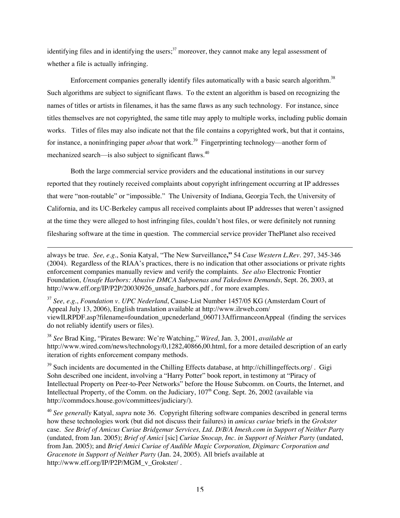identifying files and in identifying the users;<sup>37</sup> moreover, they cannot make any legal assessment of whether a file is actually infringing.

Enforcement companies generally identify files automatically with a basic search algorithm.<sup>38</sup> Such algorithms are subject to significant flaws. To the extent an algorithm is based on recognizing the names of titles or artists in filenames, it has the same flaws as any such technology. For instance, since titles themselves are not copyrighted, the same title may apply to multiple works, including public domain works. Titles of files may also indicate not that the file contains a copyrighted work, but that it contains, for instance, a noninfringing paper *about* that work.<sup>39</sup> Fingerprinting technology—another form of mechanized search—is also subject to significant flaws.<sup>40</sup>

Both the large commercial service providers and the educational institutions in our survey reported that they routinely received complaints about copyright infringement occurring at IP addresses that were "non-routable" or "impossible." The University of Indiana, Georgia Tech, the University of California, and its UC-Berkeley campus all received complaints about IP addresses that weren't assigned at the time they were alleged to host infringing files, couldn't host files, or were definitely not running filesharing software at the time in question. The commercial service provider ThePlanet also received

always be true. *See, e.g.*, Sonia Katyal, "The New Surveillance**,"** 54 *Case Western L.Rev.* 297, 345-346 (2004). Regardless of the RIAA's practices, there is no indication that other associations or private rights enforcement companies manually review and verify the complaints. *See also* Electronic Frontier Foundation, *Unsafe Harbors: Abusive DMCA Subpoenas and Takedown Demands*, Sept. 26, 2003, at http://www.eff.org/IP/P2P/20030926\_unsafe\_harbors.pdf , for more examples.

 $\overline{a}$ 

<sup>37</sup> *See, e.g.*, *Foundation v. UPC Nederland*, Cause-List Number 1457/05 KG (Amsterdam Court of Appeal July 13, 2006), English translation available at http://www.ilrweb.com/ viewILRPDF.asp?filename=foundation\_upcnederland\_060713AffirmanceonAppeal (finding the services do not reliably identify users or files).

<sup>38</sup> *See* Brad King, "Pirates Beware: We're Watching," *Wired*, Jan. 3, 2001, *available at* http://www.wired.com/news/technology/0,1282,40866,00.html, for a more detailed description of an early iteration of rights enforcement company methods.

<sup>39</sup> Such incidents are documented in the Chilling Effects database, at http://chillingeffects.org/. Gigi Sohn described one incident, involving a "Harry Potter" book report, in testimony at "Piracy of Intellectual Property on Peer-to-Peer Networks" before the House Subcomm. on Courts, the Internet, and Intellectual Property, of the Comm. on the Judiciary,  $107<sup>th</sup>$  Cong. Sept. 26, 2002 (available via http://commdocs.house.gov/committees/judiciary/).

<sup>40</sup> *See generally* Katyal, *supra* note 36. Copyright filtering software companies described in general terms how these technologies work (but did not discuss their failures) in *amicus curiae* briefs in the *Grokster* case. *See Brief of Amicus Curiae Bridgemar Services, Ltd. D/B/A Imesh.com in Support of Neither Party* (undated, from Jan. 2005); *Brief of Amici* [sic] *Curiae Snocap, Inc. in Support of Neither Party* (undated, from Jan. 2005); and *Brief Amici Curiae of Audible Magic Corporation, Digimarc Corporation and Gracenote in Support of Neither Party* (Jan. 24, 2005). All briefs available at http://www.eff.org/IP/P2P/MGM\_v\_Grokster/.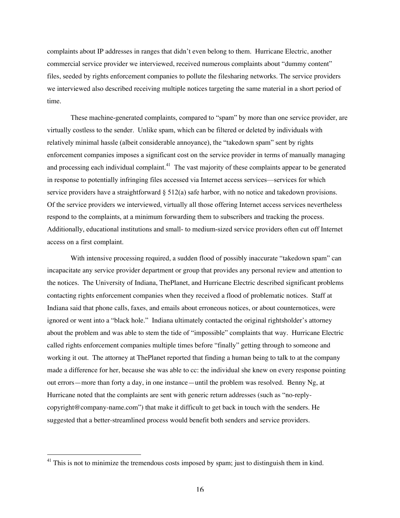complaints about IP addresses in ranges that didn't even belong to them. Hurricane Electric, another commercial service provider we interviewed, received numerous complaints about "dummy content" files, seeded by rights enforcement companies to pollute the filesharing networks. The service providers we interviewed also described receiving multiple notices targeting the same material in a short period of time.

These machine-generated complaints, compared to "spam" by more than one service provider, are virtually costless to the sender. Unlike spam, which can be filtered or deleted by individuals with relatively minimal hassle (albeit considerable annoyance), the "takedown spam" sent by rights enforcement companies imposes a significant cost on the service provider in terms of manually managing and processing each individual complaint.<sup>41</sup> The vast majority of these complaints appear to be generated in response to potentially infringing files accessed via Internet access services—services for which service providers have a straightforward  $\S 512(a)$  safe harbor, with no notice and takedown provisions. Of the service providers we interviewed, virtually all those offering Internet access services nevertheless respond to the complaints, at a minimum forwarding them to subscribers and tracking the process. Additionally, educational institutions and small- to medium-sized service providers often cut off Internet access on a first complaint.

With intensive processing required, a sudden flood of possibly inaccurate "takedown spam" can incapacitate any service provider department or group that provides any personal review and attention to the notices. The University of Indiana, ThePlanet, and Hurricane Electric described significant problems contacting rights enforcement companies when they received a flood of problematic notices. Staff at Indiana said that phone calls, faxes, and emails about erroneous notices, or about counternotices, were ignored or went into a "black hole." Indiana ultimately contacted the original rightsholder's attorney about the problem and was able to stem the tide of "impossible" complaints that way. Hurricane Electric called rights enforcement companies multiple times before "finally" getting through to someone and working it out. The attorney at ThePlanet reported that finding a human being to talk to at the company made a difference for her, because she was able to cc: the individual she knew on every response pointing out errors—more than forty a day, in one instance—until the problem was resolved. Benny Ng, at Hurricane noted that the complaints are sent with generic return addresses (such as "no-replycopyright@company-name.com") that make it difficult to get back in touch with the senders. He suggested that a better-streamlined process would benefit both senders and service providers.

<sup>&</sup>lt;sup>41</sup> This is not to minimize the tremendous costs imposed by spam; just to distinguish them in kind.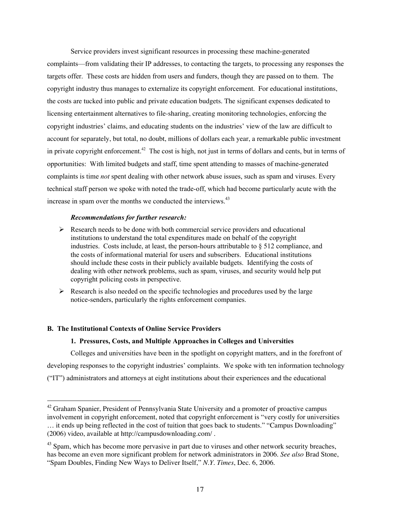Service providers invest significant resources in processing these machine-generated complaints—from validating their IP addresses, to contacting the targets, to processing any responses the targets offer. These costs are hidden from users and funders, though they are passed on to them. The copyright industry thus manages to externalize its copyright enforcement. For educational institutions, the costs are tucked into public and private education budgets. The significant expenses dedicated to licensing entertainment alternatives to file-sharing, creating monitoring technologies, enforcing the copyright industries' claims, and educating students on the industries' view of the law are difficult to account for separately, but total, no doubt, millions of dollars each year, a remarkable public investment in private copyright enforcement.<sup>42</sup> The cost is high, not just in terms of dollars and cents, but in terms of opportunities: With limited budgets and staff, time spent attending to masses of machine-generated complaints is time *not* spent dealing with other network abuse issues, such as spam and viruses. Every technical staff person we spoke with noted the trade-off, which had become particularly acute with the increase in spam over the months we conducted the interviews.<sup>43</sup>

## *Recommendations for further research:*

- $\triangleright$  Research needs to be done with both commercial service providers and educational institutions to understand the total expenditures made on behalf of the copyright industries. Costs include, at least, the person-hours attributable to § 512 compliance, and the costs of informational material for users and subscribers. Educational institutions should include these costs in their publicly available budgets. Identifying the costs of dealing with other network problems, such as spam, viruses, and security would help put copyright policing costs in perspective.
- $\triangleright$  Research is also needed on the specific technologies and procedures used by the large notice-senders, particularly the rights enforcement companies.

## B. The Institutional Contexts of Online Service Providers

## 1. Pressures, Costs, and Multiple Approaches in Colleges and Universities

Colleges and universities have been in the spotlight on copyright matters, and in the forefront of developing responses to the copyright industries' complaints. We spoke with ten information technology ("IT") administrators and attorneys at eight institutions about their experiences and the educational

<sup>&</sup>lt;sup>42</sup> Graham Spanier, President of Pennsylvania State University and a promoter of proactive campus involvement in copyright enforcement, noted that copyright enforcement is "very costly for universities … it ends up being reflected in the cost of tuition that goes back to students." "Campus Downloading" (2006) video, available at http://campusdownloading.com/ .

<sup>&</sup>lt;sup>43</sup> Spam, which has become more pervasive in part due to viruses and other network security breaches, has become an even more significant problem for network administrators in 2006. *See also* Brad Stone, "Spam Doubles, Finding New Ways to Deliver Itself," *N.Y. Times*, Dec. 6, 2006.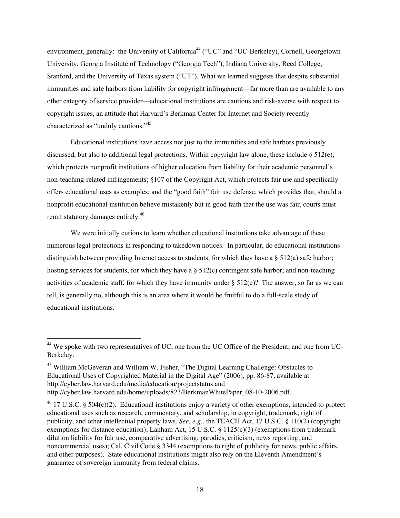environment, generally: the University of California<sup>44</sup> ("UC" and "UC-Berkeley), Cornell, Georgetown University, Georgia Institute of Technology ("Georgia Tech"), Indiana University, Reed College, Stanford, and the University of Texas system ("UT"). What we learned suggests that despite substantial immunities and safe harbors from liability for copyright infringement—far more than are available to any other category of service provider—educational institutions are cautious and risk-averse with respect to copyright issues, an attitude that Harvard's Berkman Center for Internet and Society recently characterized as "unduly cautious."<sup>45</sup>

Educational institutions have access not just to the immunities and safe harbors previously discussed, but also to additional legal protections. Within copyright law alone, these include § 512(e), which protects nonprofit institutions of higher education from liability for their academic personnel's non-teaching-related infringements; §107 of the Copyright Act, which protects fair use and specifically offers educational uses as examples; and the "good faith" fair use defense, which provides that, should a nonprofit educational institution believe mistakenly but in good faith that the use was fair, courts must remit statutory damages entirely.<sup>46</sup>

We were initially curious to learn whether educational institutions take advantage of these numerous legal protections in responding to takedown notices. In particular, do educational institutions distinguish between providing Internet access to students, for which they have a  $\S$  512(a) safe harbor; hosting services for students, for which they have a  $\S 512(c)$  contingent safe harbor; and non-teaching activities of academic staff, for which they have immunity under  $\S 512(e)$ ? The answer, so far as we can tell, is generally no, although this is an area where it would be fruitful to do a full-scale study of educational institutions.

44 We spoke with two representatives of UC, one from the UC Office of the President, and one from UC-Berkeley.

<sup>&</sup>lt;sup>45</sup> William McGeveran and William W. Fisher, "The Digital Learning Challenge: Obstacles to Educational Uses of Copyrighted Material in the Digital Age" (2006), pp. 86-87, available at http://cyber.law.harvard.edu/media/education/projectstatus and http://cyber.law.harvard.edu/home/uploads/823/BerkmanWhitePaper\_08-10-2006.pdf.

 $^{46}$  17 U.S.C. § 504(c)(2). Educational institutions enjoy a variety of other exemptions, intended to protect educational uses such as research, commentary, and scholarship, in copyright, trademark, right of publicity, and other intellectual property laws. *See, e.g.*, the TEACH Act, 17 U.S.C. § 110(2) (copyright exemptions for distance education); Lanham Act, 15 U.S.C.  $\S$  1125(c)(3) (exemptions from trademark dilution liability for fair use, comparative advertising, parodies, criticism, news reporting, and noncommercial uses); Cal. Civil Code § 3344 (exemptions to right of publicity for news, public affairs, and other purposes). State educational institutions might also rely on the Eleventh Amendment's guarantee of sovereign immunity from federal claims.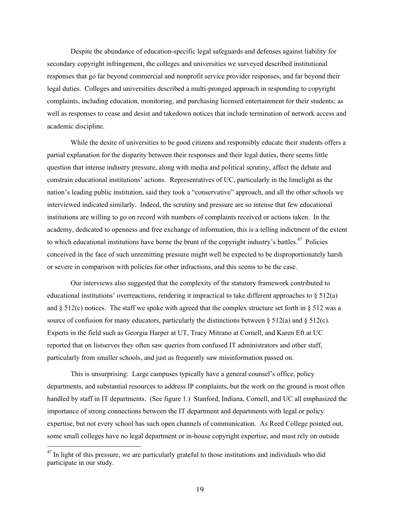Despite the abundance of education-specific legal safeguards and defenses against liability for secondary copyright infringement, the colleges and universities we surveyed described institutional responses that go far beyond commercial and nonprofit service provider responses, and far beyond their legal duties. Colleges and universities described a multi-pronged approach in responding to copyright complaints, including education, monitoring, and purchasing licensed entertainment for their students; as well as responses to cease and desist and takedown notices that include termination of network access and academic discipline.

While the desire of universities to be good citizens and responsibly educate their students offers a partial explanation for the disparity between their responses and their legal duties, there seems little question that intense industry pressure, along with media and political scrutiny, affect the debate and constrain educational institutions' actions. Representatives of UC, particularly in the limelight as the nation's leading public institution, said they took a "conservative" approach, and all the other schools we interviewed indicated similarly. Indeed, the scrutiny and pressure are so intense that few educational institutions are willing to go on record with numbers of complaints received or actions taken. In the academy, dedicated to openness and free exchange of information, this is a telling indictment of the extent to which educational institutions have borne the brunt of the copyright industry's battles.<sup>47</sup> Policies conceived in the face of such unremitting pressure might well be expected to be disproportionately harsh or severe in comparison with policies for other infractions, and this seems to be the case.

Our interviews also suggested that the complexity of the statutory framework contributed to educational institutions' overreactions, rendering it impractical to take different approaches to  $\S 512(a)$ and  $\S$  512(c) notices. The staff we spoke with agreed that the complex structure set forth in  $\S$  512 was a source of confusion for many educators, particularly the distinctions between  $\S 512(a)$  and  $\S 512(c)$ . Experts in the field such as Georgia Harper at UT, Tracy Mitrano at Cornell, and Karen Eft at UC reported that on listserves they often saw queries from confused IT administrators and other staff, particularly from smaller schools, and just as frequently saw misinformation passed on.

This is unsurprising: Large campuses typically have a general counsel's office, policy departments, and substantial resources to address IP complaints, but the work on the ground is most often handled by staff in IT departments. (See figure 1.) Stanford, Indiana, Cornell, and UC all emphasized the importance of strong connections between the IT department and departments with legal or policy expertise, but not every school has such open channels of communication. As Reed College pointed out, some small colleges have no legal department or in-house copyright expertise, and must rely on outside

<sup>&</sup>lt;sup>47</sup> In light of this pressure, we are particularly grateful to those institutions and individuals who did participate in our study.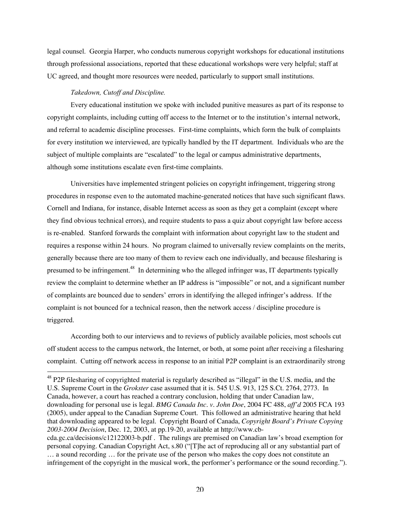legal counsel. Georgia Harper, who conducts numerous copyright workshops for educational institutions through professional associations, reported that these educational workshops were very helpful; staff at UC agreed, and thought more resources were needed, particularly to support small institutions.

## *Takedown, Cutoff and Discipline.*

Every educational institution we spoke with included punitive measures as part of its response to copyright complaints, including cutting off access to the Internet or to the institution's internal network, and referral to academic discipline processes. First-time complaints, which form the bulk of complaints for every institution we interviewed, are typically handled by the IT department. Individuals who are the subject of multiple complaints are "escalated" to the legal or campus administrative departments, although some institutions escalate even first-time complaints.

Universities have implemented stringent policies on copyright infringement, triggering strong procedures in response even to the automated machine-generated notices that have such significant flaws. Cornell and Indiana, for instance, disable Internet access as soon as they get a complaint (except where they find obvious technical errors), and require students to pass a quiz about copyright law before access is re-enabled. Stanford forwards the complaint with information about copyright law to the student and requires a response within 24 hours. No program claimed to universally review complaints on the merits, generally because there are too many of them to review each one individually, and because filesharing is presumed to be infringement.<sup>48</sup> In determining who the alleged infringer was, IT departments typically review the complaint to determine whether an IP address is "impossible" or not, and a significant number of complaints are bounced due to senders' errors in identifying the alleged infringer's address. If the complaint is not bounced for a technical reason, then the network access / discipline procedure is triggered.

According both to our interviews and to reviews of publicly available policies, most schools cut off student access to the campus network, the Internet, or both, at some point after receiving a filesharing complaint. Cutting off network access in response to an initial P2P complaint is an extraordinarily strong

<sup>48</sup> P2P filesharing of copyrighted material is regularly described as "illegal" in the U.S. media, and the U.S. Supreme Court in the *Grokster* case assumed that it is. 545 U.S. 913, 125 S.Ct. 2764, 2773. In Canada, however, a court has reached a contrary conclusion, holding that under Canadian law, downloading for personal use is legal. *BMG Canada Inc. v. John Doe*, 2004 FC 488, *aff'd* 2005 FCA 193 (2005), under appeal to the Canadian Supreme Court. This followed an administrative hearing that held that downloading appeared to be legal. Copyright Board of Canada, *Copyright Board's Private Copying 2003-2004 Decision*, Dec. 12, 2003, at pp.19-20, available at http://www.cbcda.gc.ca/decisions/c12122003-b.pdf . The rulings are premised on Canadian law's broad exemption for personal copying. Canadian Copyright Act, s.80 ("[T]he act of reproducing all or any substantial part of … a sound recording … for the private use of the person who makes the copy does not constitute an infringement of the copyright in the musical work, the performer's performance or the sound recording.").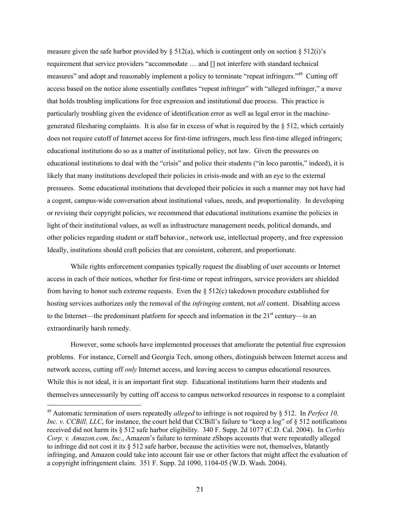measure given the safe harbor provided by  $\S 512(a)$ , which is contingent only on section  $\S 512(i)$ 's requirement that service providers "accommodate … and [] not interfere with standard technical measures" and adopt and reasonably implement a policy to terminate "repeat infringers."<sup>49</sup> Cutting off access based on the notice alone essentially conflates "repeat infringer" with "alleged infringer," a move that holds troubling implications for free expression and institutional due process. This practice is particularly troubling given the evidence of identification error as well as legal error in the machinegenerated filesharing complaints. It is also far in excess of what is required by the  $\S$  512, which certainly does not require cutoff of Internet access for first-time infringers, much less first-time alleged infringers; educational institutions do so as a matter of institutional policy, not law. Given the pressures on educational institutions to deal with the "crisis" and police their students ("in loco parentis," indeed), it is likely that many institutions developed their policies in crisis-mode and with an eye to the external pressures. Some educational institutions that developed their policies in such a manner may not have had a cogent, campus-wide conversation about institutional values, needs, and proportionality. In developing or revising their copyright policies, we recommend that educational institutions examine the policies in light of their institutional values, as well as infrastructure management needs, political demands, and other policies regarding student or staff behavior., network use, intellectual property, and free expression Ideally, institutions should craft policies that are consistent, coherent, and proportionate.

While rights enforcement companies typically request the disabling of user accounts or Internet access in each of their notices, whether for first-time or repeat infringers, service providers are shielded from having to honor such extreme requests. Even the  $\S 512(c)$  takedown procedure established for hosting services authorizes only the removal of the *infringing* content, not *all* content. Disabling access to the Internet—the predominant platform for speech and information in the  $21<sup>st</sup>$  century—is an extraordinarily harsh remedy.

However, some schools have implemented processes that ameliorate the potential free expression problems. For instance, Cornell and Georgia Tech, among others, distinguish between Internet access and network access, cutting off *only* Internet access, and leaving access to campus educational resources. While this is not ideal, it is an important first step. Educational institutions harm their students and themselves unnecessarily by cutting off access to campus networked resources in response to a complaint

 <sup>49</sup> Automatic termination of users repeatedly *alleged* to infringe is not required by § 512. In *Perfect 10, Inc. v. CCBill, LLC*, for instance, the court held that CCBill's failure to "keep a log" of § 512 notifications received did not harm its § 512 safe harbor eligibility. 340 F. Supp. 2d 1077 (C.D. Cal. 2004). In *Corbis Corp. v. Amazon.com, Inc.*, Amazon's failure to terminate zShops accounts that were repeatedly alleged to infringe did not cost it its § 512 safe harbor, because the activities were not, themselves, blatantly infringing, and Amazon could take into account fair use or other factors that might affect the evaluation of a copyright infringement claim. 351 F. Supp. 2d 1090, 1104-05 (W.D. Wash. 2004).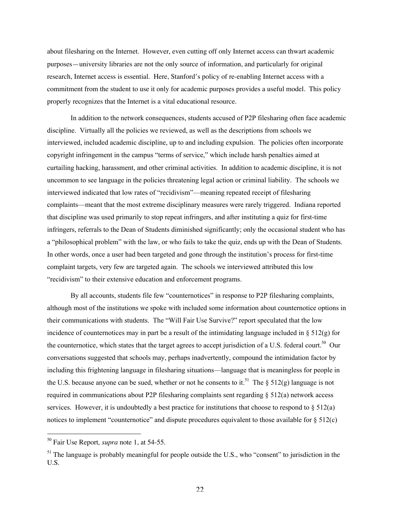about filesharing on the Internet. However, even cutting off only Internet access can thwart academic purposes—university libraries are not the only source of information, and particularly for original research, Internet access is essential. Here, Stanford's policy of re-enabling Internet access with a commitment from the student to use it only for academic purposes provides a useful model. This policy properly recognizes that the Internet is a vital educational resource.

In addition to the network consequences, students accused of P2P filesharing often face academic discipline. Virtually all the policies we reviewed, as well as the descriptions from schools we interviewed, included academic discipline, up to and including expulsion. The policies often incorporate copyright infringement in the campus "terms of service," which include harsh penalties aimed at curtailing hacking, harassment, and other criminal activities. In addition to academic discipline, it is not uncommon to see language in the policies threatening legal action or criminal liability. The schools we interviewed indicated that low rates of "recidivism"—meaning repeated receipt of filesharing complaints—meant that the most extreme disciplinary measures were rarely triggered. Indiana reported that discipline was used primarily to stop repeat infringers, and after instituting a quiz for first-time infringers, referrals to the Dean of Students diminished significantly; only the occasional student who has a "philosophical problem" with the law, or who fails to take the quiz, ends up with the Dean of Students. In other words, once a user had been targeted and gone through the institution's process for first-time complaint targets, very few are targeted again. The schools we interviewed attributed this low "recidivism" to their extensive education and enforcement programs.

By all accounts, students file few "counternotices" in response to P2P filesharing complaints, although most of the institutions we spoke with included some information about counternotice options in their communications with students. The "Will Fair Use Survive?" report speculated that the low incidence of counternotices may in part be a result of the intimidating language included in  $\S 512(g)$  for the counternotice, which states that the target agrees to accept jurisdiction of a U.S. federal court.<sup>50</sup> Our conversations suggested that schools may, perhaps inadvertently, compound the intimidation factor by including this frightening language in filesharing situations—language that is meaningless for people in the U.S. because anyone can be sued, whether or not he consents to it.<sup>51</sup> The § 512(g) language is not required in communications about P2P filesharing complaints sent regarding  $\S 512(a)$  network access services. However, it is undoubtedly a best practice for institutions that choose to respond to  $\S 512(a)$ notices to implement "counternotice" and dispute procedures equivalent to those available for § 512(c)

50 Fair Use Report*, supra* note 1, at 54-55.

<sup>&</sup>lt;sup>51</sup> The language is probably meaningful for people outside the U.S., who "consent" to jurisdiction in the U.S.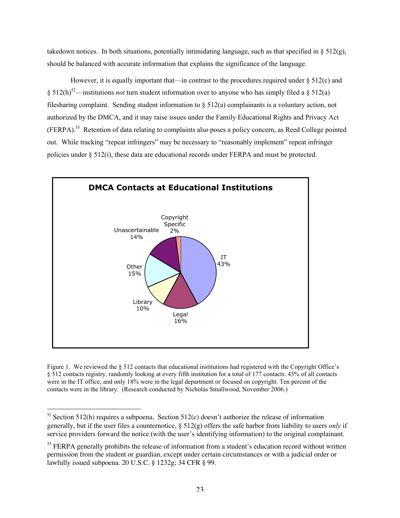takedown notices. In both situations, potentially intimidating language, such as that specified in  $\S 512(g)$ , should be balanced with accurate information that explains the significance of the language.

However, it is equally important that—in contrast to the procedures required under  $\S 512(c)$  and  $\S 512(h)^{52}$ —institutions *not* turn student information over to anyone who has simply filed a  $\S 512(a)$ filesharing complaint. Sending student information to  $\S 512(a)$  complainants is a voluntary action, not authorized by the DMCA, and it may raise issues under the Family Educational Rights and Privacy Act (FERPA).<sup>53</sup> Retention of data relating to complaints also poses a policy concern, as Reed College pointed out. While tracking "repeat infringers" may be necessary to "reasonably implement" repeat infringer policies under § 512(i), these data are educational records under FERPA and must be protected.



Figure 1. We reviewed the  $\S 512$  contacts that educational institutions had registered with the Copyright Office's § 512 contacts registry, randomly looking at every fifth institution for a total of 177 contacts. 43% of all contacts were in the IT office, and only 18% were in the legal department or focused on copyright. Ten percent of the contacts were in the library. (Research conducted by Nicholas Smallwood, November 2006.)

<sup>&</sup>lt;sup>52</sup> Section 512(h) requires a subpoena. Section 512(c) doesn't authorize the release of information generally, but if the user files a counternotice, § 512(g) offers the safe harbor from liability to users *only* if service providers forward the notice (with the user's identifying information) to the original complainant.

<sup>&</sup>lt;sup>53</sup> FERPA generally prohibits the release of information from a student's education record without written permission from the student or guardian, except under certain circumstances or with a judicial order or lawfully issued subpoena. 20 U.S.C. § 1232g; 34 CFR § 99.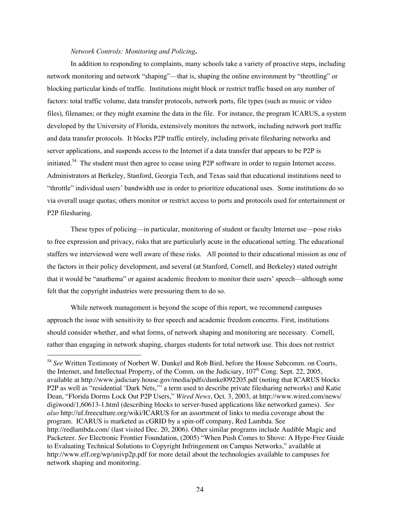## *Network Controls: Monitoring and Policing*.

In addition to responding to complaints, many schools take a variety of proactive steps, including network monitoring and network "shaping"—that is, shaping the online environment by "throttling" or blocking particular kinds of traffic. Institutions might block or restrict traffic based on any number of factors: total traffic volume, data transfer protocols, network ports, file types (such as music or video files), filenames; or they might examine the data in the file. For instance, the program ICARUS, a system developed by the University of Florida, extensively monitors the network, including network port traffic and data transfer protocols. It blocks P2P traffic entirely, including private filesharing networks and server applications, and suspends access to the Internet if a data transfer that appears to be P2P is initiated.<sup>54</sup> The student must then agree to cease using P2P software in order to regain Internet access. Administrators at Berkeley, Stanford, Georgia Tech, and Texas said that educational institutions need to "throttle" individual users' bandwidth use in order to prioritize educational uses. Some institutions do so via overall usage quotas; others monitor or restrict access to ports and protocols used for entertainment or P2P filesharing.

These types of policing—in particular, monitoring of student or faculty Internet use—pose risks to free expression and privacy, risks that are particularly acute in the educational setting. The educational staffers we interviewed were well aware of these risks. All pointed to their educational mission as one of the factors in their policy development, and several (at Stanford, Cornell, and Berkeley) stated outright that it would be "anathema" or against academic freedom to monitor their users' speech—although some felt that the copyright industries were pressuring them to do so.

While network management is beyond the scope of this report, we recommend campuses approach the issue with sensitivity to free speech and academic freedom concerns. First, institutions should consider whether, and what forms, of network shaping and monitoring are necessary. Cornell, rather than engaging in network shaping, charges students for total network use. This does not restrict

<sup>54</sup> *See* Written Testimony of Norbert W. Dunkel and Rob Bird, before the House Subcomm. on Courts, the Internet, and Intellectual Property, of the Comm. on the Judiciary, 107<sup>th</sup> Cong. Sept. 22, 2005, available at http://www.judiciary.house.gov/media/pdfs/dunkel092205.pdf (noting that ICARUS blocks P2P as well as "residential 'Dark Nets,'" a term used to describe private filesharing networks) and Katie Dean, "Florida Dorms Lock Out P2P Users," *Wired News*, Oct. 3, 2003, at http://www.wired.com/news/ digiwood/1,60613-1.html (describing blocks to server-based applications like networked games). *See also* http://uf.freeculture.org/wiki/ICARUS for an assortment of links to media coverage about the program. ICARUS is marketed as cGRID by a spin-off company, Red Lambda. See http://redlambda.com/ (last visited Dec. 20, 2006). Other similar programs include Audible Magic and Packeteer. *See* Electronic Frontier Foundation, (2005) "When Push Comes to Shove: A Hype-Free Guide to Evaluating Technical Solutions to Copyright Infringement on Campus Networks," available at http://www.eff.org/wp/univp2p.pdf for more detail about the technologies available to campuses for network shaping and monitoring.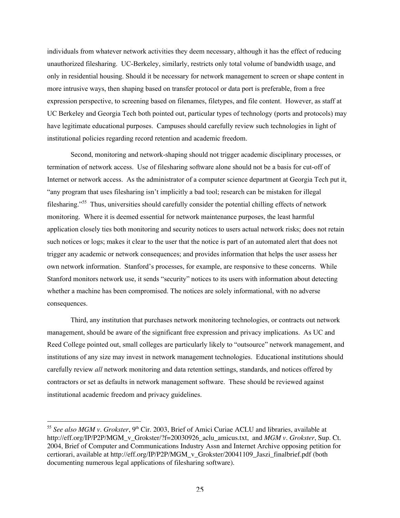individuals from whatever network activities they deem necessary, although it has the effect of reducing unauthorized filesharing. UC-Berkeley, similarly, restricts only total volume of bandwidth usage, and only in residential housing. Should it be necessary for network management to screen or shape content in more intrusive ways, then shaping based on transfer protocol or data port is preferable, from a free expression perspective, to screening based on filenames, filetypes, and file content. However, as staff at UC Berkeley and Georgia Tech both pointed out, particular types of technology (ports and protocols) may have legitimate educational purposes. Campuses should carefully review such technologies in light of institutional policies regarding record retention and academic freedom.

Second, monitoring and network-shaping should not trigger academic disciplinary processes, or termination of network access. Use of filesharing software alone should not be a basis for cut-off of Internet or network access. As the administrator of a computer science department at Georgia Tech put it, "any program that uses filesharing isn't implicitly a bad tool; research can be mistaken for illegal filesharing."<sup>55</sup> Thus, universities should carefully consider the potential chilling effects of network monitoring. Where it is deemed essential for network maintenance purposes, the least harmful application closely ties both monitoring and security notices to users actual network risks; does not retain such notices or logs; makes it clear to the user that the notice is part of an automated alert that does not trigger any academic or network consequences; and provides information that helps the user assess her own network information. Stanford's processes, for example, are responsive to these concerns. While Stanford monitors network use, it sends "security" notices to its users with information about detecting whether a machine has been compromised. The notices are solely informational, with no adverse consequences.

Third, any institution that purchases network monitoring technologies, or contracts out network management, should be aware of the significant free expression and privacy implications. As UC and Reed College pointed out, small colleges are particularly likely to "outsource" network management, and institutions of any size may invest in network management technologies. Educational institutions should carefully review *all* network monitoring and data retention settings, standards, and notices offered by contractors or set as defaults in network management software. These should be reviewed against institutional academic freedom and privacy guidelines.

<sup>&</sup>lt;sup>55</sup> See also MGM v. Grokster, 9<sup>th</sup> Cir. 2003, Brief of Amici Curiae ACLU and libraries, available at http://eff.org/IP/P2P/MGM\_v\_Grokster/?f=20030926\_aclu\_amicus.txt, and *MGM v. Grokster*, Sup. Ct. 2004, Brief of Computer and Communications Industry Assn and Internet Archive opposing petition for certiorari, available at http://eff.org/IP/P2P/MGM\_v\_Grokster/20041109\_Jaszi\_finalbrief.pdf (both documenting numerous legal applications of filesharing software).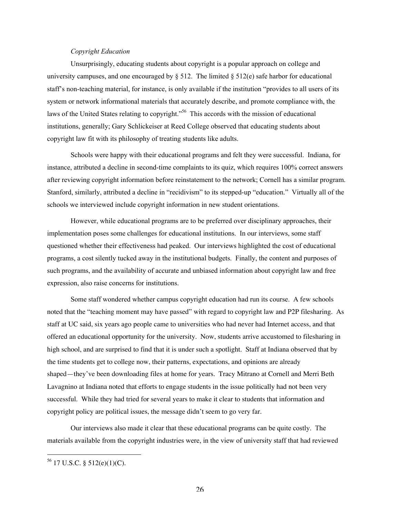## *Copyright Education*

Unsurprisingly, educating students about copyright is a popular approach on college and university campuses, and one encouraged by  $\S 512$ . The limited  $\S 512(e)$  safe harbor for educational staff's non-teaching material, for instance, is only available if the institution "provides to all users of its system or network informational materials that accurately describe, and promote compliance with, the laws of the United States relating to copyright."<sup>56</sup> This accords with the mission of educational institutions, generally; Gary Schlickeiser at Reed College observed that educating students about copyright law fit with its philosophy of treating students like adults.

Schools were happy with their educational programs and felt they were successful. Indiana, for instance, attributed a decline in second-time complaints to its quiz, which requires 100% correct answers after reviewing copyright information before reinstatement to the network; Cornell has a similar program. Stanford, similarly, attributed a decline in "recidivism" to its stepped-up "education." Virtually all of the schools we interviewed include copyright information in new student orientations.

However, while educational programs are to be preferred over disciplinary approaches, their implementation poses some challenges for educational institutions. In our interviews, some staff questioned whether their effectiveness had peaked. Our interviews highlighted the cost of educational programs, a cost silently tucked away in the institutional budgets. Finally, the content and purposes of such programs, and the availability of accurate and unbiased information about copyright law and free expression, also raise concerns for institutions.

Some staff wondered whether campus copyright education had run its course. A few schools noted that the "teaching moment may have passed" with regard to copyright law and P2P filesharing. As staff at UC said, six years ago people came to universities who had never had Internet access, and that offered an educational opportunity for the university. Now, students arrive accustomed to filesharing in high school, and are surprised to find that it is under such a spotlight. Staff at Indiana observed that by the time students get to college now, their patterns, expectations, and opinions are already shaped—they've been downloading files at home for years. Tracy Mitrano at Cornell and Merri Beth Lavagnino at Indiana noted that efforts to engage students in the issue politically had not been very successful. While they had tried for several years to make it clear to students that information and copyright policy are political issues, the message didn't seem to go very far.

Our interviews also made it clear that these educational programs can be quite costly. The materials available from the copyright industries were, in the view of university staff that had reviewed

56 17 U.S.C. § 512(e)(1)(C).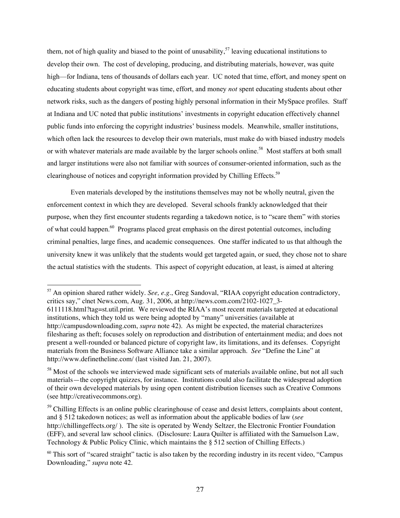them, not of high quality and biased to the point of unusability,  $57$  leaving educational institutions to develop their own. The cost of developing, producing, and distributing materials, however, was quite high—for Indiana, tens of thousands of dollars each year. UC noted that time, effort, and money spent on educating students about copyright was time, effort, and money *not* spent educating students about other network risks, such as the dangers of posting highly personal information in their MySpace profiles. Staff at Indiana and UC noted that public institutions' investments in copyright education effectively channel public funds into enforcing the copyright industries' business models. Meanwhile, smaller institutions, which often lack the resources to develop their own materials, must make do with biased industry models or with whatever materials are made available by the larger schools online.<sup>58</sup> Most staffers at both small and larger institutions were also not familiar with sources of consumer-oriented information, such as the clearinghouse of notices and copyright information provided by Chilling Effects.<sup>59</sup>

Even materials developed by the institutions themselves may not be wholly neutral, given the enforcement context in which they are developed. Several schools frankly acknowledged that their purpose, when they first encounter students regarding a takedown notice, is to "scare them" with stories of what could happen.<sup>60</sup> Programs placed great emphasis on the direst potential outcomes, including criminal penalties, large fines, and academic consequences. One staffer indicated to us that although the university knew it was unlikely that the students would get targeted again, or sued, they chose not to share the actual statistics with the students. This aspect of copyright education, at least, is aimed at altering

 <sup>57</sup> An opinion shared rather widely. *See, e.g.*, Greg Sandoval, "RIAA copyright education contradictory, critics say," clnet News.com, Aug. 31, 2006, at http://news.com.com/2102-1027\_3-6111118.html?tag=st.util.print. We reviewed the RIAA's most recent materials targeted at educational institutions, which they told us were being adopted by "many" universities (available at http://campusdownloading.com, *supra* note 42). As might be expected, the material characterizes filesharing as theft; focuses solely on reproduction and distribution of entertainment media; and does not

present a well-rounded or balanced picture of copyright law, its limitations, and its defenses. Copyright materials from the Business Software Alliance take a similar approach. *See* "Define the Line" at http://www.definetheline.com/ (last visited Jan. 21, 2007).

<sup>&</sup>lt;sup>58</sup> Most of the schools we interviewed made significant sets of materials available online, but not all such materials—the copyright quizzes, for instance. Institutions could also facilitate the widespread adoption of their own developed materials by using open content distribution licenses such as Creative Commons (see http://creativecommons.org).

<sup>&</sup>lt;sup>59</sup> Chilling Effects is an online public clearinghouse of cease and desist letters, complaints about content, and § 512 takedown notices; as well as information about the applicable bodies of law (*see* http://chillingeffects.org/ ). The site is operated by Wendy Seltzer, the Electronic Frontier Foundation (EFF), and several law school clinics. (Disclosure: Laura Quilter is affiliated with the Samuelson Law, Technology & Public Policy Clinic, which maintains the § 512 section of Chilling Effects.)

 $60$  This sort of "scared straight" tactic is also taken by the recording industry in its recent video, "Campus Downloading," *supra* note 42.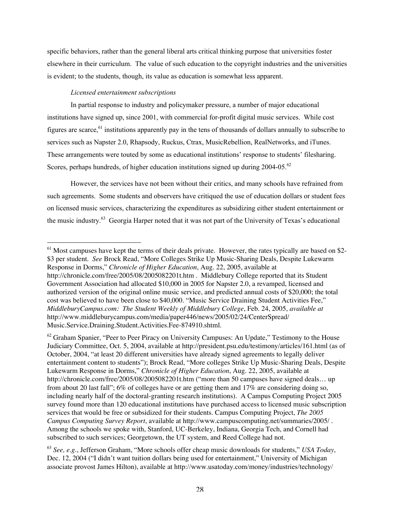specific behaviors, rather than the general liberal arts critical thinking purpose that universities foster elsewhere in their curriculum. The value of such education to the copyright industries and the universities is evident; to the students, though, its value as education is somewhat less apparent.

## *Licensed entertainment subscriptions*

In partial response to industry and policymaker pressure, a number of major educational institutions have signed up, since 2001, with commercial for-profit digital music services. While cost figures are scarce,  $61$  institutions apparently pay in the tens of thousands of dollars annually to subscribe to services such as Napster 2.0, Rhapsody, Ruckus, Ctrax, MusicRebellion, RealNetworks, and iTunes. These arrangements were touted by some as educational institutions' response to students' filesharing. Scores, perhaps hundreds, of higher education institutions signed up during 2004-05.<sup>62</sup>

However, the services have not been without their critics, and many schools have refrained from such agreements. Some students and observers have critiqued the use of education dollars or student fees on licensed music services, characterizing the expenditures as subsidizing either student entertainment or the music industry.<sup>63</sup> Georgia Harper noted that it was not part of the University of Texas's educational

<sup>&</sup>lt;sup>61</sup> Most campuses have kept the terms of their deals private. However, the rates typically are based on \$2-\$3 per student. *See* Brock Read, "More Colleges Strike Up Music-Sharing Deals, Despite Lukewarm Response in Dorms," *Chronicle of Higher Education*, Aug. 22, 2005, available at http://chronicle.com/free/2005/08/2005082201t.htm . Middlebury College reported that its Student Government Association had allocated \$10,000 in 2005 for Napster 2.0, a revamped, licensed and authorized version of the original online music service, and predicted annual costs of \$20,000; the total cost was believed to have been close to \$40,000. "Music Service Draining Student Activities Fee," *MiddleburyCampus.com: The Student Weekly of Middlebury College*, Feb. 24, 2005, *available at* http://www.middleburycampus.com/media/paper446/news/2005/02/24/CenterSpread/ Music.Service.Draining.Student.Activities.Fee-874910.shtml.

 $^{62}$  Graham Spanier, "Peer to Peer Piracy on University Campuses: An Update," Testimony to the House Judiciary Committee, Oct. 5, 2004, available at http://president.psu.edu/testimony/articles/161.html (as of October, 2004, "at least 20 different universities have already signed agreements to legally deliver entertainment content to students"); Brock Read, "More colleges Strike Up Music-Sharing Deals, Despite Lukewarm Response in Dorms," *Chronicle of Higher Education*, Aug. 22, 2005, available at http://chronicle.com/free/2005/08/2005082201t.htm ("more than 50 campuses have signed deals... up from about 20 last fall"; 6% of colleges have or are getting them and 17% are considering doing so, including nearly half of the doctoral-granting research institutions). A Campus Computing Project 2005 survey found more than 120 educational institutions have purchased access to licensed music subscription services that would be free or subsidized for their students. Campus Computing Project, *The 2005 Campus Computing Survey Report*, available at http://www.campuscomputing.net/summaries/2005/ . Among the schools we spoke with, Stanford, UC-Berkeley, Indiana, Georgia Tech, and Cornell had subscribed to such services; Georgetown, the UT system, and Reed College had not.

<sup>63</sup> *See, e.g.*, Jefferson Graham, "More schools offer cheap music downloads for students," *USA Today*, Dec. 12, 2004 ("I didn't want tuition dollars being used for entertainment," University of Michigan associate provost James Hilton), available at http://www.usatoday.com/money/industries/technology/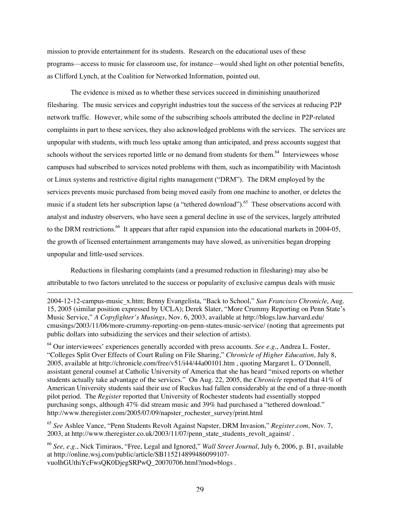mission to provide entertainment for its students. Research on the educational uses of these programs—access to music for classroom use, for instance—would shed light on other potential benefits, as Clifford Lynch, at the Coalition for Networked Information, pointed out.

The evidence is mixed as to whether these services succeed in diminishing unauthorized filesharing. The music services and copyright industries tout the success of the services at reducing P2P network traffic. However, while some of the subscribing schools attributed the decline in P2P-related complaints in part to these services, they also acknowledged problems with the services. The services are unpopular with students, with much less uptake among than anticipated, and press accounts suggest that schools without the services reported little or no demand from students for them.<sup>64</sup> Interviewees whose campuses had subscribed to services noted problems with them, such as incompatibility with Macintosh or Linux systems and restrictive digital rights management ("DRM"). The DRM employed by the services prevents music purchased from being moved easily from one machine to another, or deletes the music if a student lets her subscription lapse (a "tethered download").<sup>65</sup> These observations accord with analyst and industry observers, who have seen a general decline in use of the services, largely attributed to the DRM restrictions.<sup>66</sup> It appears that after rapid expansion into the educational markets in 2004-05, the growth of licensed entertainment arrangements may have slowed, as universities began dropping unpopular and little-used services.

Reductions in filesharing complaints (and a presumed reduction in filesharing) may also be attributable to two factors unrelated to the success or popularity of exclusive campus deals with music

 $\overline{a}$ 

2004-12-12-campus-music\_x.htm; Benny Evangelista, "Back to School," *San Francisco Chronicle*, Aug. 15, 2005 (similar position expressed by UCLA); Derek Slater, "More Crummy Reporting on Penn State's Music Service," *A Copyfighter's Musings*, Nov. 6, 2003, available at http://blogs.law.harvard.edu/ cmusings/2003/11/06/more-crummy-reporting-on-penn-states-music-service/ (noting that agreements put public dollars into subsidizing the services and their selection of artists).

64 Our interviewees' experiences generally accorded with press accounts. *See e.g.*, Andrea L. Foster, "Colleges Split Over Effects of Court Ruling on File Sharing," *Chronicle of Higher Education*, July 8, 2005, available at http://chronicle.com/free/v51/i44/44a00101.htm , quoting Margaret L. O'Donnell, assistant general counsel at Catholic University of America that she has heard "mixed reports on whether students actually take advantage of the services." On Aug. 22, 2005, the *Chronicle* reported that 41% of American University students said their use of Ruckus had fallen considerably at the end of a three-month pilot period. The *Register* reported that University of Rochester students had essentially stopped purchasing songs, although 47% did stream music and 39% had purchased a "tethered download." http://www.theregister.com/2005/07/09/napster\_rochester\_survey/print.html

<sup>65</sup> *See* Ashlee Vance, "Penn Students Revolt Against Napster, DRM Invasion," *Register.com*, Nov. 7, 2003, at http://www.theregister.co.uk/2003/11/07/penn\_state\_students\_revolt\_against/ .

<sup>66</sup> *See, e.g.*, Nick Timiraos, "Free, Legal and Ignored," *Wall Street Journal*, July 6, 2006, p. B1, available at http://online.wsj.com/public/article/SB115214899486099107 vuoIhGUthiYcFwsQK0DjegSRPwQ\_20070706.html?mod=blogs .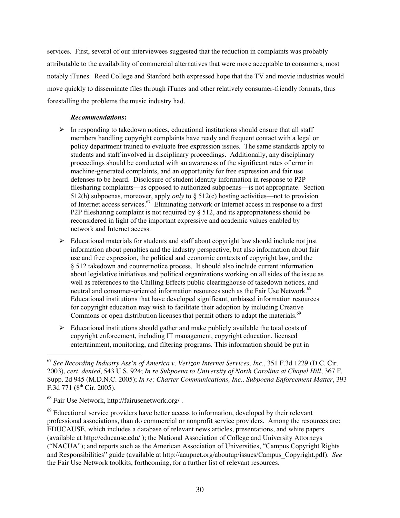services. First, several of our interviewees suggested that the reduction in complaints was probably attributable to the availability of commercial alternatives that were more acceptable to consumers, most notably iTunes. Reed College and Stanford both expressed hope that the TV and movie industries would move quickly to disseminate files through iTunes and other relatively consumer-friendly formats, thus forestalling the problems the music industry had.

## *Recommendations*:

- $\triangleright$  In responding to takedown notices, educational institutions should ensure that all staff members handling copyright complaints have ready and frequent contact with a legal or policy department trained to evaluate free expression issues. The same standards apply to students and staff involved in disciplinary proceedings. Additionally, any disciplinary proceedings should be conducted with an awareness of the significant rates of error in machine-generated complaints, and an opportunity for free expression and fair use defenses to be heard. Disclosure of student identity information in response to P2P filesharing complaints—as opposed to authorized subpoenas—is not appropriate. Section 512(h) subpoenas, moreover, apply *only* to § 512(c) hosting activities—not to provision of Internet access services.<sup>67</sup> Eliminating network or Internet access in response to a first P2P filesharing complaint is not required by  $\S$  512, and its appropriateness should be reconsidered in light of the important expressive and academic values enabled by network and Internet access.
- $\triangleright$  Educational materials for students and staff about copyright law should include not just information about penalties and the industry perspective, but also information about fair use and free expression, the political and economic contexts of copyright law, and the § 512 takedown and counternotice process. It should also include current information about legislative initiatives and political organizations working on all sides of the issue as well as references to the Chilling Effects public clearinghouse of takedown notices, and neutral and consumer-oriented information resources such as the Fair Use Network.<sup>68</sup> Educational institutions that have developed significant, unbiased information resources for copyright education may wish to facilitate their adoption by including Creative Commons or open distribution licenses that permit others to adapt the materials. $69$
- $\triangleright$  Educational institutions should gather and make publicly available the total costs of copyright enforcement, including IT management, copyright education, licensed entertainment, monitoring, and filtering programs. This information should be put in

<sup>67</sup> *See Recording Industry Ass'n of America v. Verizon Internet Services, Inc.*, 351 F.3d 1229 (D.C. Cir. 2003), *cert. denied*, 543 U.S. 924; *In re Subpoena to University of North Carolina at Chapel Hill*, 367 F. Supp. 2d 945 (M.D.N.C. 2005); *In re: Charter Communications, Inc., Subpoena Enforcement Matter*, 393 F.3d 771 ( $8<sup>th</sup>$  Cir. 2005).

<sup>68</sup> Fair Use Network, http://fairusenetwork.org/ .

<sup>&</sup>lt;sup>69</sup> Educational service providers have better access to information, developed by their relevant professional associations, than do commercial or nonprofit service providers. Among the resources are: EDUCAUSE, which includes a database of relevant news articles, presentations, and white papers (available at http://educause.edu/ ); the National Association of College and University Attorneys ("NACUA"); and reports such as the American Association of Universities, "Campus Copyright Rights and Responsibilities" guide (available at http://aaupnet.org/aboutup/issues/Campus\_Copyright.pdf). *See* the Fair Use Network toolkits, forthcoming, for a further list of relevant resources.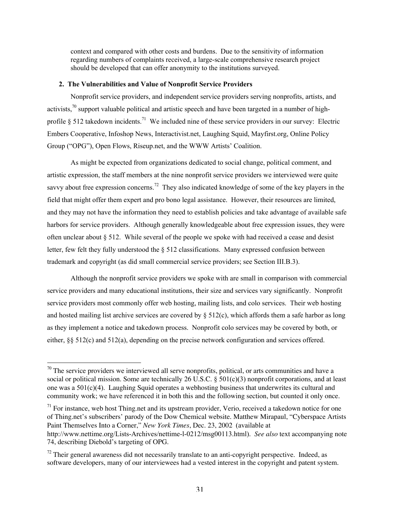context and compared with other costs and burdens. Due to the sensitivity of information regarding numbers of complaints received, a large-scale comprehensive research project should be developed that can offer anonymity to the institutions surveyed.

## 2. The Vulnerabilities and Value of Nonprofit Service Providers

Nonprofit service providers, and independent service providers serving nonprofits, artists, and activists,<sup>70</sup> support valuable political and artistic speech and have been targeted in a number of highprofile § 512 takedown incidents.<sup>71</sup> We included nine of these service providers in our survey: Electric Embers Cooperative, Infoshop News, Interactivist.net, Laughing Squid, Mayfirst.org, Online Policy Group ("OPG"), Open Flows, Riseup.net, and the WWW Artists' Coalition.

As might be expected from organizations dedicated to social change, political comment, and artistic expression, the staff members at the nine nonprofit service providers we interviewed were quite savvy about free expression concerns.<sup>72</sup> They also indicated knowledge of some of the key players in the field that might offer them expert and pro bono legal assistance. However, their resources are limited, and they may not have the information they need to establish policies and take advantage of available safe harbors for service providers. Although generally knowledgeable about free expression issues, they were often unclear about § 512. While several of the people we spoke with had received a cease and desist letter, few felt they fully understood the § 512 classifications. Many expressed confusion between trademark and copyright (as did small commercial service providers; see Section III.B.3).

Although the nonprofit service providers we spoke with are small in comparison with commercial service providers and many educational institutions, their size and services vary significantly. Nonprofit service providers most commonly offer web hosting, mailing lists, and colo services. Their web hosting and hosted mailing list archive services are covered by  $\S 512(c)$ , which affords them a safe harbor as long as they implement a notice and takedown process. Nonprofit colo services may be covered by both, or either, §§ 512(c) and 512(a), depending on the precise network configuration and services offered.

<sup>71</sup> For instance, web host Thing.net and its upstream provider, Verio, received a takedown notice for one of Thing.net's subscribers' parody of the Dow Chemical website. Matthew Mirapaul, "Cyberspace Artists Paint Themselves Into a Corner," *New York Times*, Dec. 23, 2002 (available at http://www.nettime.org/Lists-Archives/nettime-l-0212/msg00113.html). *See also* text accompanying note 74, describing Diebold's targeting of OPG.

<sup>&</sup>lt;sup>70</sup> The service providers we interviewed all serve nonprofits, political, or arts communities and have a social or political mission. Some are technically 26 U.S.C.  $\S 501(c)(3)$  nonprofit corporations, and at least one was a  $501(c)(4)$ . Laughing Squid operates a webhosting business that underwrites its cultural and community work; we have referenced it in both this and the following section, but counted it only once.

 $72$  Their general awareness did not necessarily translate to an anti-copyright perspective. Indeed, as software developers, many of our interviewees had a vested interest in the copyright and patent system.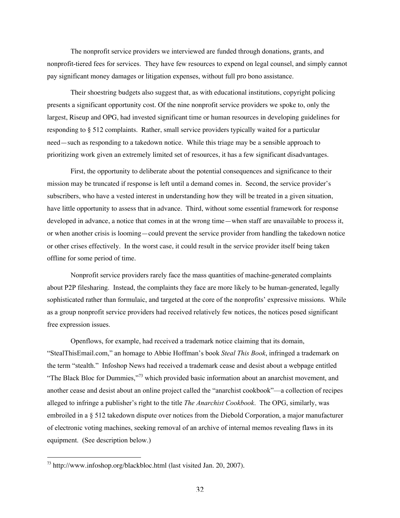The nonprofit service providers we interviewed are funded through donations, grants, and nonprofit-tiered fees for services. They have few resources to expend on legal counsel, and simply cannot pay significant money damages or litigation expenses, without full pro bono assistance.

Their shoestring budgets also suggest that, as with educational institutions, copyright policing presents a significant opportunity cost. Of the nine nonprofit service providers we spoke to, only the largest, Riseup and OPG, had invested significant time or human resources in developing guidelines for responding to § 512 complaints. Rather, small service providers typically waited for a particular need—such as responding to a takedown notice. While this triage may be a sensible approach to prioritizing work given an extremely limited set of resources, it has a few significant disadvantages.

First, the opportunity to deliberate about the potential consequences and significance to their mission may be truncated if response is left until a demand comes in. Second, the service provider's subscribers, who have a vested interest in understanding how they will be treated in a given situation, have little opportunity to assess that in advance. Third, without some essential framework for response developed in advance, a notice that comes in at the wrong time—when staff are unavailable to process it, or when another crisis is looming—could prevent the service provider from handling the takedown notice or other crises effectively. In the worst case, it could result in the service provider itself being taken offline for some period of time.

Nonprofit service providers rarely face the mass quantities of machine-generated complaints about P2P filesharing. Instead, the complaints they face are more likely to be human-generated, legally sophisticated rather than formulaic, and targeted at the core of the nonprofits' expressive missions. While as a group nonprofit service providers had received relatively few notices, the notices posed significant free expression issues.

Openflows, for example, had received a trademark notice claiming that its domain, "StealThisEmail.com," an homage to Abbie Hoffman's book *Steal This Book*, infringed a trademark on the term "stealth." Infoshop News had received a trademark cease and desist about a webpage entitled "The Black Bloc for Dummies,"<sup>73</sup> which provided basic information about an anarchist movement, and another cease and desist about an online project called the "anarchist cookbook"—a collection of recipes alleged to infringe a publisher's right to the title *The Anarchist Cookbook*. The OPG, similarly, was embroiled in a § 512 takedown dispute over notices from the Diebold Corporation, a major manufacturer of electronic voting machines, seeking removal of an archive of internal memos revealing flaws in its equipment. (See description below.)

 <sup>73</sup> http://www.infoshop.org/blackbloc.html (last visited Jan. 20, 2007).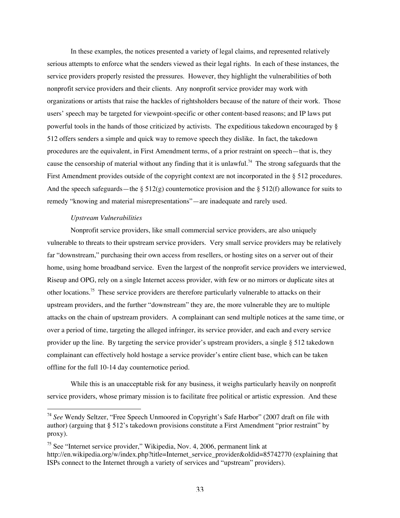In these examples, the notices presented a variety of legal claims, and represented relatively serious attempts to enforce what the senders viewed as their legal rights. In each of these instances, the service providers properly resisted the pressures. However, they highlight the vulnerabilities of both nonprofit service providers and their clients. Any nonprofit service provider may work with organizations or artists that raise the hackles of rightsholders because of the nature of their work. Those users' speech may be targeted for viewpoint-specific or other content-based reasons; and IP laws put powerful tools in the hands of those criticized by activists. The expeditious takedown encouraged by § 512 offers senders a simple and quick way to remove speech they dislike. In fact, the takedown procedures are the equivalent, in First Amendment terms, of a prior restraint on speech—that is, they cause the censorship of material without any finding that it is unlawful.<sup>74</sup> The strong safeguards that the First Amendment provides outside of the copyright context are not incorporated in the § 512 procedures. And the speech safeguards—the  $\S 512(g)$  counternotice provision and the  $\S 512(f)$  allowance for suits to remedy "knowing and material misrepresentations"—are inadequate and rarely used.

#### *Upstream Vulnerabilities*

Nonprofit service providers, like small commercial service providers, are also uniquely vulnerable to threats to their upstream service providers. Very small service providers may be relatively far "downstream," purchasing their own access from resellers, or hosting sites on a server out of their home, using home broadband service. Even the largest of the nonprofit service providers we interviewed, Riseup and OPG, rely on a single Internet access provider, with few or no mirrors or duplicate sites at other locations.<sup>75</sup> These service providers are therefore particularly vulnerable to attacks on their upstream providers, and the further "downstream" they are, the more vulnerable they are to multiple attacks on the chain of upstream providers. A complainant can send multiple notices at the same time, or over a period of time, targeting the alleged infringer, its service provider, and each and every service provider up the line. By targeting the service provider's upstream providers, a single  $\S 512$  takedown complainant can effectively hold hostage a service provider's entire client base, which can be taken offline for the full 10-14 day counternotice period.

While this is an unacceptable risk for any business, it weighs particularly heavily on nonprofit service providers, whose primary mission is to facilitate free political or artistic expression. And these

<sup>74</sup> *See* Wendy Seltzer, "Free Speech Unmoored in Copyright's Safe Harbor" (2007 draft on file with author) (arguing that § 512's takedown provisions constitute a First Amendment "prior restraint" by proxy).

<sup>&</sup>lt;sup>75</sup> See "Internet service provider," Wikipedia, Nov. 4, 2006, permanent link at http://en.wikipedia.org/w/index.php?title=Internet\_service\_provider&oldid=85742770 (explaining that ISPs connect to the Internet through a variety of services and "upstream" providers).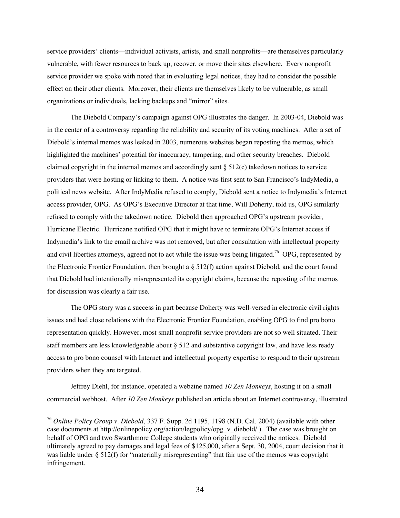service providers' clients—individual activists, artists, and small nonprofits—are themselves particularly vulnerable, with fewer resources to back up, recover, or move their sites elsewhere. Every nonprofit service provider we spoke with noted that in evaluating legal notices, they had to consider the possible effect on their other clients. Moreover, their clients are themselves likely to be vulnerable, as small organizations or individuals, lacking backups and "mirror" sites.

The Diebold Company's campaign against OPG illustrates the danger. In 2003-04, Diebold was in the center of a controversy regarding the reliability and security of its voting machines. After a set of Diebold's internal memos was leaked in 2003, numerous websites began reposting the memos, which highlighted the machines' potential for inaccuracy, tampering, and other security breaches. Diebold claimed copyright in the internal memos and accordingly sent  $\S 512(c)$  takedown notices to service providers that were hosting or linking to them. A notice was first sent to San Francisco's IndyMedia, a political news website. After IndyMedia refused to comply, Diebold sent a notice to Indymedia's Internet access provider, OPG. As OPG's Executive Director at that time, Will Doherty, told us, OPG similarly refused to comply with the takedown notice. Diebold then approached OPG's upstream provider, Hurricane Electric. Hurricane notified OPG that it might have to terminate OPG's Internet access if Indymedia's link to the email archive was not removed, but after consultation with intellectual property and civil liberties attorneys, agreed not to act while the issue was being litigated.<sup>76</sup> OPG, represented by the Electronic Frontier Foundation, then brought a § 512(f) action against Diebold, and the court found that Diebold had intentionally misrepresented its copyright claims, because the reposting of the memos for discussion was clearly a fair use.

The OPG story was a success in part because Doherty was well-versed in electronic civil rights issues and had close relations with the Electronic Frontier Foundation, enabling OPG to find pro bono representation quickly. However, most small nonprofit service providers are not so well situated. Their staff members are less knowledgeable about § 512 and substantive copyright law, and have less ready access to pro bono counsel with Internet and intellectual property expertise to respond to their upstream providers when they are targeted.

Jeffrey Diehl, for instance, operated a webzine named *10 Zen Monkeys*, hosting it on a small commercial webhost. After *10 Zen Monkeys* published an article about an Internet controversy, illustrated

<sup>76</sup> *Online Policy Group v. Diebold*, 337 F. Supp. 2d 1195, 1198 (N.D. Cal. 2004) (available with other case documents at http://onlinepolicy.org/action/legpolicy/opg\_v\_diebold/ ). The case was brought on behalf of OPG and two Swarthmore College students who originally received the notices. Diebold ultimately agreed to pay damages and legal fees of \$125,000, after a Sept. 30, 2004, court decision that it was liable under § 512(f) for "materially misrepresenting" that fair use of the memos was copyright infringement.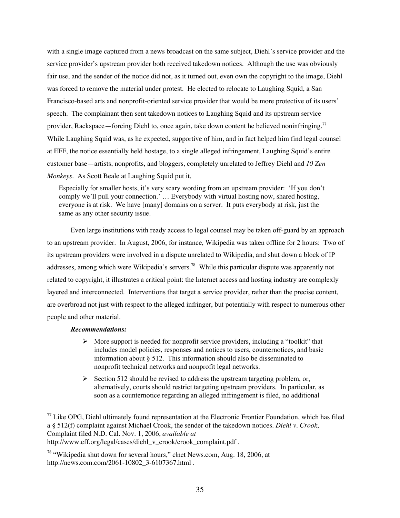with a single image captured from a news broadcast on the same subject, Diehl's service provider and the service provider's upstream provider both received takedown notices. Although the use was obviously fair use, and the sender of the notice did not, as it turned out, even own the copyright to the image, Diehl was forced to remove the material under protest. He elected to relocate to Laughing Squid, a San Francisco-based arts and nonprofit-oriented service provider that would be more protective of its users' speech. The complainant then sent takedown notices to Laughing Squid and its upstream service provider, Rackspace—forcing Diehl to, once again, take down content he believed noninfringing.<sup>77</sup> While Laughing Squid was, as he expected, supportive of him, and in fact helped him find legal counsel at EFF, the notice essentially held hostage, to a single alleged infringement, Laughing Squid's entire customer base—artists, nonprofits, and bloggers, completely unrelated to Jeffrey Diehl and *10 Zen Monkeys*. As Scott Beale at Laughing Squid put it,

Especially for smaller hosts, it's very scary wording from an upstream provider: 'If you don't comply we'll pull your connection.' … Everybody with virtual hosting now, shared hosting, everyone is at risk. We have [many] domains on a server. It puts everybody at risk, just the same as any other security issue.

Even large institutions with ready access to legal counsel may be taken off-guard by an approach to an upstream provider. In August, 2006, for instance, Wikipedia was taken offline for 2 hours: Two of its upstream providers were involved in a dispute unrelated to Wikipedia, and shut down a block of IP addresses, among which were Wikipedia's servers.<sup>78</sup> While this particular dispute was apparently not related to copyright, it illustrates a critical point: the Internet access and hosting industry are complexly layered and interconnected. Interventions that target a service provider, rather than the precise content, are overbroad not just with respect to the alleged infringer, but potentially with respect to numerous other people and other material.

## *Recommendations:*

- $\triangleright$  More support is needed for nonprofit service providers, including a "toolkit" that includes model policies, responses and notices to users, counternotices, and basic information about § 512. This information should also be disseminated to nonprofit technical networks and nonprofit legal networks.
- $\triangleright$  Section 512 should be revised to address the upstream targeting problem, or, alternatively, courts should restrict targeting upstream providers. In particular, as soon as a counternotice regarding an alleged infringement is filed, no additional

<sup>&</sup>lt;sup>77</sup> Like OPG, Diehl ultimately found representation at the Electronic Frontier Foundation, which has filed a § 512(f) complaint against Michael Crook, the sender of the takedown notices. *Diehl v. Crook*, Complaint filed N.D. Cal. Nov. 1, 2006, *available at* http://www.eff.org/legal/cases/diehl\_v\_crook/crook\_complaint.pdf .

<sup>&</sup>lt;sup>78</sup> "Wikipedia shut down for several hours," clnet News.com, Aug. 18, 2006, at http://news.com.com/2061-10802\_3-6107367.html .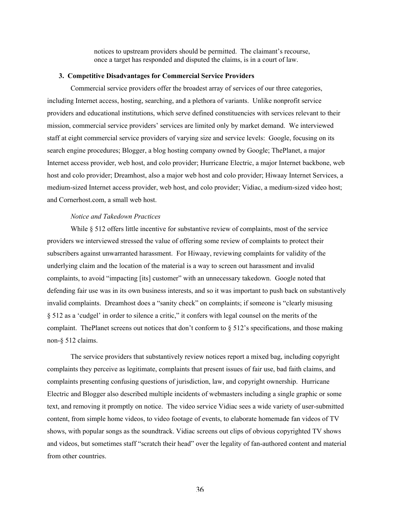notices to upstream providers should be permitted. The claimant's recourse, once a target has responded and disputed the claims, is in a court of law.

#### 3. Competitive Disadvantages for Commercial Service Providers

Commercial service providers offer the broadest array of services of our three categories, including Internet access, hosting, searching, and a plethora of variants. Unlike nonprofit service providers and educational institutions, which serve defined constituencies with services relevant to their mission, commercial service providers' services are limited only by market demand. We interviewed staff at eight commercial service providers of varying size and service levels: Google, focusing on its search engine procedures; Blogger, a blog hosting company owned by Google; ThePlanet, a major Internet access provider, web host, and colo provider; Hurricane Electric, a major Internet backbone, web host and colo provider; Dreamhost, also a major web host and colo provider; Hiwaay Internet Services, a medium-sized Internet access provider, web host, and colo provider; Vidiac, a medium-sized video host; and Cornerhost.com, a small web host.

## *Notice and Takedown Practices*

While § 512 offers little incentive for substantive review of complaints, most of the service providers we interviewed stressed the value of offering some review of complaints to protect their subscribers against unwarranted harassment. For Hiwaay, reviewing complaints for validity of the underlying claim and the location of the material is a way to screen out harassment and invalid complaints, to avoid "impacting [its] customer" with an unnecessary takedown. Google noted that defending fair use was in its own business interests, and so it was important to push back on substantively invalid complaints. Dreamhost does a "sanity check" on complaints; if someone is "clearly misusing § 512 as a 'cudgel' in order to silence a critic," it confers with legal counsel on the merits of the complaint. ThePlanet screens out notices that don't conform to § 512's specifications, and those making non-§ 512 claims.

The service providers that substantively review notices report a mixed bag, including copyright complaints they perceive as legitimate, complaints that present issues of fair use, bad faith claims, and complaints presenting confusing questions of jurisdiction, law, and copyright ownership. Hurricane Electric and Blogger also described multiple incidents of webmasters including a single graphic or some text, and removing it promptly on notice. The video service Vidiac sees a wide variety of user-submitted content, from simple home videos, to video footage of events, to elaborate homemade fan videos of TV shows, with popular songs as the soundtrack. Vidiac screens out clips of obvious copyrighted TV shows and videos, but sometimes staff "scratch their head" over the legality of fan-authored content and material from other countries.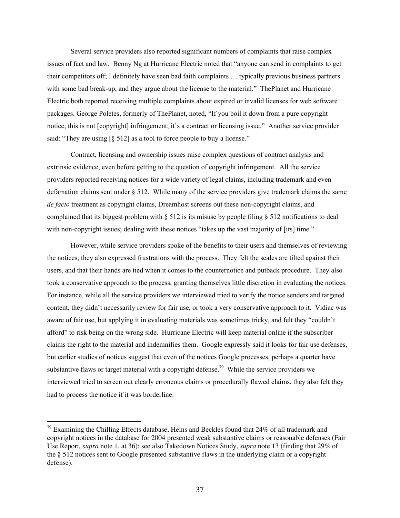Several service providers also reported significant numbers of complaints that raise complex issues of fact and law. Benny Ng at Hurricane Electric noted that "anyone can send in complaints to get their competitors off; I definitely have seen bad faith complaints … typically previous business partners with some bad break-up, and they argue about the license to the material." The Planet and Hurricane Electric both reported receiving multiple complaints about expired or invalid licenses for web software packages. George Poletes, formerly of ThePlanet, noted, "If you boil it down from a pure copyright notice, this is not [copyright] infringement; it's a contract or licensing issue." Another service provider said: "They are using [§ 512] as a tool to force people to buy a license."

Contract, licensing and ownership issues raise complex questions of contract analysis and extrinsic evidence, even before getting to the question of copyright infringement. All the service providers reported receiving notices for a wide variety of legal claims, including trademark and even defamation claims sent under § 512. While many of the service providers give trademark claims the same *de facto* treatment as copyright claims, Dreamhost screens out these non-copyright claims, and complained that its biggest problem with  $\S$  512 is its misuse by people filing  $\S$  512 notifications to deal with non-copyright issues; dealing with these notices "takes up the vast majority of [its] time."

However, while service providers spoke of the benefits to their users and themselves of reviewing the notices, they also expressed frustrations with the process. They felt the scales are tilted against their users, and that their hands are tied when it comes to the counternotice and putback procedure. They also took a conservative approach to the process, granting themselves little discretion in evaluating the notices. For instance, while all the service providers we interviewed tried to verify the notice senders and targeted content, they didn't necessarily review for fair use, or took a very conservative approach to it. Vidiac was aware of fair use, but applying it in evaluating materials was sometimes tricky, and felt they "couldn't afford" to risk being on the wrong side. Hurricane Electric will keep material online if the subscriber claims the right to the material and indemnifies them. Google expressly said it looks for fair use defenses, but earlier studies of notices suggest that even of the notices Google processes, perhaps a quarter have substantive flaws or target material with a copyright defense.<sup>79</sup> While the service providers we interviewed tried to screen out clearly erroneous claims or procedurally flawed claims, they also felt they had to process the notice if it was borderline.

<sup>&</sup>lt;sup>79</sup> Examining the Chilling Effects database, Heins and Beckles found that 24% of all trademark and copyright notices in the database for 2004 presented weak substantive claims or reasonable defenses (Fair Use Report*, supra* note 1, at 36); see also Takedown Notices Study, *supra* note 13 (finding that 29% of the § 512 notices sent to Google presented substantive flaws in the underlying claim or a copyright defense).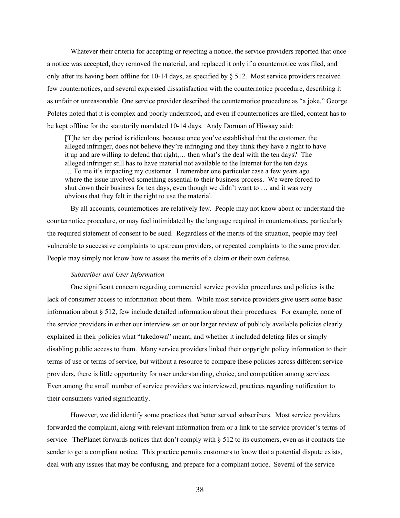Whatever their criteria for accepting or rejecting a notice, the service providers reported that once a notice was accepted, they removed the material, and replaced it only if a counternotice was filed, and only after its having been offline for 10-14 days, as specified by  $\S$  512. Most service providers received few counternotices, and several expressed dissatisfaction with the counternotice procedure, describing it as unfair or unreasonable. One service provider described the counternotice procedure as "a joke." George Poletes noted that it is complex and poorly understood, and even if counternotices are filed, content has to be kept offline for the statutorily mandated 10-14 days. Andy Dorman of Hiwaay said:

[T]he ten day period is ridiculous, because once you've established that the customer, the alleged infringer, does not believe they're infringing and they think they have a right to have it up and are willing to defend that right,… then what's the deal with the ten days? The alleged infringer still has to have material not available to the Internet for the ten days. … To me it's impacting my customer. I remember one particular case a few years ago where the issue involved something essential to their business process. We were forced to shut down their business for ten days, even though we didn't want to … and it was very obvious that they felt in the right to use the material.

By all accounts, counternotices are relatively few. People may not know about or understand the counternotice procedure, or may feel intimidated by the language required in counternotices, particularly the required statement of consent to be sued. Regardless of the merits of the situation, people may feel vulnerable to successive complaints to upstream providers, or repeated complaints to the same provider. People may simply not know how to assess the merits of a claim or their own defense.

#### *Subscriber and User Information*

One significant concern regarding commercial service provider procedures and policies is the lack of consumer access to information about them. While most service providers give users some basic information about § 512, few include detailed information about their procedures. For example, none of the service providers in either our interview set or our larger review of publicly available policies clearly explained in their policies what "takedown" meant, and whether it included deleting files or simply disabling public access to them. Many service providers linked their copyright policy information to their terms of use or terms of service, but without a resource to compare these policies across different service providers, there is little opportunity for user understanding, choice, and competition among services. Even among the small number of service providers we interviewed, practices regarding notification to their consumers varied significantly.

However, we did identify some practices that better served subscribers. Most service providers forwarded the complaint, along with relevant information from or a link to the service provider's terms of service. ThePlanet forwards notices that don't comply with § 512 to its customers, even as it contacts the sender to get a compliant notice. This practice permits customers to know that a potential dispute exists, deal with any issues that may be confusing, and prepare for a compliant notice. Several of the service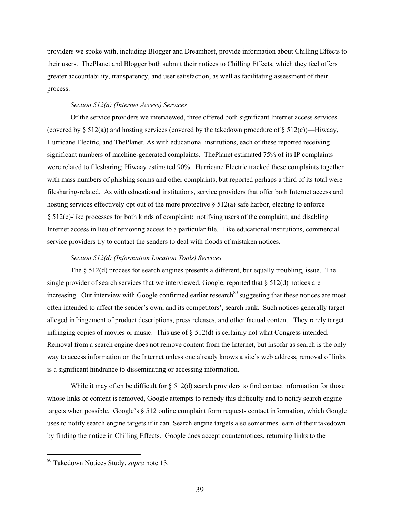providers we spoke with, including Blogger and Dreamhost, provide information about Chilling Effects to their users. ThePlanet and Blogger both submit their notices to Chilling Effects, which they feel offers greater accountability, transparency, and user satisfaction, as well as facilitating assessment of their process.

#### *Section 512(a) (Internet Access) Services*

Of the service providers we interviewed, three offered both significant Internet access services (covered by  $\S 512(a)$ ) and hosting services (covered by the takedown procedure of  $\S 512(c)$ )—Hiwaay, Hurricane Electric, and ThePlanet. As with educational institutions, each of these reported receiving significant numbers of machine-generated complaints. ThePlanet estimated 75% of its IP complaints were related to filesharing; Hiwaay estimated 90%. Hurricane Electric tracked these complaints together with mass numbers of phishing scams and other complaints, but reported perhaps a third of its total were filesharing-related. As with educational institutions, service providers that offer both Internet access and hosting services effectively opt out of the more protective § 512(a) safe harbor, electing to enforce § 512(c)-like processes for both kinds of complaint: notifying users of the complaint, and disabling Internet access in lieu of removing access to a particular file. Like educational institutions, commercial service providers try to contact the senders to deal with floods of mistaken notices.

#### *Section 512(d) (Information Location Tools) Services*

The  $\S 512(d)$  process for search engines presents a different, but equally troubling, issue. The single provider of search services that we interviewed, Google, reported that § 512(d) notices are increasing. Our interview with Google confirmed earlier research<sup>80</sup> suggesting that these notices are most often intended to affect the sender's own, and its competitors', search rank. Such notices generally target alleged infringement of product descriptions, press releases, and other factual content. They rarely target infringing copies of movies or music. This use of § 512(d) is certainly not what Congress intended. Removal from a search engine does not remove content from the Internet, but insofar as search is the only way to access information on the Internet unless one already knows a site's web address, removal of links is a significant hindrance to disseminating or accessing information.

While it may often be difficult for  $\S 512(d)$  search providers to find contact information for those whose links or content is removed, Google attempts to remedy this difficulty and to notify search engine targets when possible. Google's § 512 online complaint form requests contact information, which Google uses to notify search engine targets if it can. Search engine targets also sometimes learn of their takedown by finding the notice in Chilling Effects. Google does accept counternotices, returning links to the

80 Takedown Notices Study, *supra* note 13.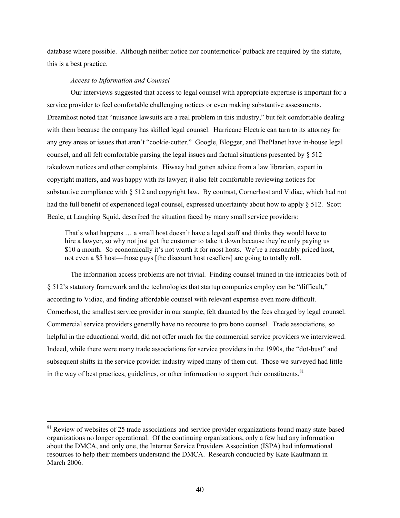database where possible. Although neither notice nor counternotice/ putback are required by the statute, this is a best practice.

#### *Access to Information and Counsel*

Our interviews suggested that access to legal counsel with appropriate expertise is important for a service provider to feel comfortable challenging notices or even making substantive assessments. Dreamhost noted that "nuisance lawsuits are a real problem in this industry," but felt comfortable dealing with them because the company has skilled legal counsel. Hurricane Electric can turn to its attorney for any grey areas or issues that aren't "cookie-cutter." Google, Blogger, and ThePlanet have in-house legal counsel, and all felt comfortable parsing the legal issues and factual situations presented by § 512 takedown notices and other complaints. Hiwaay had gotten advice from a law librarian, expert in copyright matters, and was happy with its lawyer; it also felt comfortable reviewing notices for substantive compliance with § 512 and copyright law. By contrast, Cornerhost and Vidiac, which had not had the full benefit of experienced legal counsel, expressed uncertainty about how to apply § 512. Scott Beale, at Laughing Squid, described the situation faced by many small service providers:

That's what happens … a small host doesn't have a legal staff and thinks they would have to hire a lawyer, so why not just get the customer to take it down because they're only paying us \$10 a month. So economically it's not worth it for most hosts. We're a reasonably priced host, not even a \$5 host—those guys [the discount host resellers] are going to totally roll.

The information access problems are not trivial. Finding counsel trained in the intricacies both of § 512's statutory framework and the technologies that startup companies employ can be "difficult," according to Vidiac, and finding affordable counsel with relevant expertise even more difficult. Cornerhost, the smallest service provider in our sample, felt daunted by the fees charged by legal counsel. Commercial service providers generally have no recourse to pro bono counsel. Trade associations, so helpful in the educational world, did not offer much for the commercial service providers we interviewed. Indeed, while there were many trade associations for service providers in the 1990s, the "dot-bust" and subsequent shifts in the service provider industry wiped many of them out. Those we surveyed had little in the way of best practices, guidelines, or other information to support their constituents.<sup>81</sup>

<sup>&</sup>lt;sup>81</sup> Review of websites of 25 trade associations and service provider organizations found many state-based organizations no longer operational. Of the continuing organizations, only a few had any information about the DMCA, and only one, the Internet Service Providers Association (ISPA) had informational resources to help their members understand the DMCA. Research conducted by Kate Kaufmann in March 2006.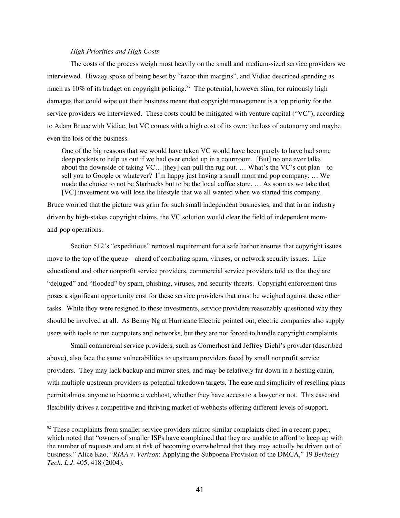## *High Priorities and High Costs*

The costs of the process weigh most heavily on the small and medium-sized service providers we interviewed. Hiwaay spoke of being beset by "razor-thin margins", and Vidiac described spending as much as 10% of its budget on copyright policing.<sup>82</sup> The potential, however slim, for ruinously high damages that could wipe out their business meant that copyright management is a top priority for the service providers we interviewed. These costs could be mitigated with venture capital ("VC"), according to Adam Bruce with Vidiac, but VC comes with a high cost of its own: the loss of autonomy and maybe even the loss of the business.

One of the big reasons that we would have taken VC would have been purely to have had some deep pockets to help us out if we had ever ended up in a courtroom. [But] no one ever talks about the downside of taking VC…[they] can pull the rug out. … What's the VC's out plan—to sell you to Google or whatever? I'm happy just having a small mom and pop company. … We made the choice to not be Starbucks but to be the local coffee store. … As soon as we take that [VC] investment we will lose the lifestyle that we all wanted when we started this company.

Bruce worried that the picture was grim for such small independent businesses, and that in an industry driven by high-stakes copyright claims, the VC solution would clear the field of independent momand-pop operations.

Section 512's "expeditious" removal requirement for a safe harbor ensures that copyright issues move to the top of the queue—ahead of combating spam, viruses, or network security issues. Like educational and other nonprofit service providers, commercial service providers told us that they are "deluged" and "flooded" by spam, phishing, viruses, and security threats. Copyright enforcement thus poses a significant opportunity cost for these service providers that must be weighed against these other tasks. While they were resigned to these investments, service providers reasonably questioned why they should be involved at all. As Benny Ng at Hurricane Electric pointed out, electric companies also supply users with tools to run computers and networks, but they are not forced to handle copyright complaints.

Small commercial service providers, such as Cornerhost and Jeffrey Diehl's provider (described above), also face the same vulnerabilities to upstream providers faced by small nonprofit service providers. They may lack backup and mirror sites, and may be relatively far down in a hosting chain, with multiple upstream providers as potential takedown targets. The ease and simplicity of reselling plans permit almost anyone to become a webhost, whether they have access to a lawyer or not. This ease and flexibility drives a competitive and thriving market of webhosts offering different levels of support,

<sup>&</sup>lt;sup>82</sup> These complaints from smaller service providers mirror similar complaints cited in a recent paper, which noted that "owners of smaller ISPs have complained that they are unable to afford to keep up with the number of requests and are at risk of becoming overwhelmed that they may actually be driven out of business." Alice Kao, "*RIAA v. Verizon*: Applying the Subpoena Provision of the DMCA," 19 *Berkeley Tech. L.J.* 405, 418 (2004).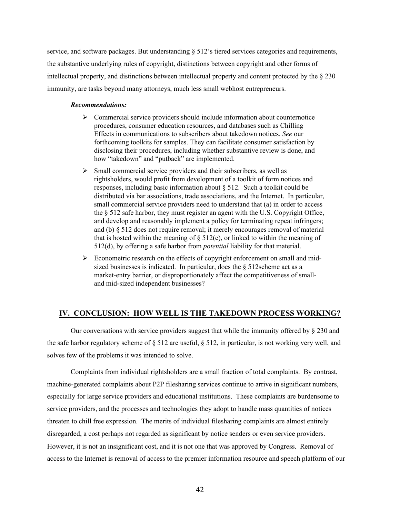service, and software packages. But understanding § 512's tiered services categories and requirements, the substantive underlying rules of copyright, distinctions between copyright and other forms of intellectual property, and distinctions between intellectual property and content protected by the  $\S 230$ immunity, are tasks beyond many attorneys, much less small webhost entrepreneurs.

#### *Recommendations:*

- $\triangleright$  Commercial service providers should include information about counternotice procedures, consumer education resources, and databases such as Chilling Effects in communications to subscribers about takedown notices. *See* our forthcoming toolkits for samples. They can facilitate consumer satisfaction by disclosing their procedures, including whether substantive review is done, and how "takedown" and "putback" are implemented.
- $\triangleright$  Small commercial service providers and their subscribers, as well as rightsholders, would profit from development of a toolkit of form notices and responses, including basic information about § 512. Such a toolkit could be distributed via bar associations, trade associations, and the Internet. In particular, small commercial service providers need to understand that (a) in order to access the § 512 safe harbor, they must register an agent with the U.S. Copyright Office, and develop and reasonably implement a policy for terminating repeat infringers; and (b) § 512 does not require removal; it merely encourages removal of material that is hosted within the meaning of  $\S$  512(c), or linked to within the meaning of 512(d), by offering a safe harbor from *potential* liability for that material.
- $\triangleright$  Econometric research on the effects of copyright enforcement on small and midsized businesses is indicated. In particular, does the § 512scheme act as a market-entry barrier, or disproportionately affect the competitiveness of smalland mid-sized independent businesses?

## IV. CONCLUSION: HOW WELL IS THE TAKEDOWN PROCESS WORKING?

Our conversations with service providers suggest that while the immunity offered by § 230 and the safe harbor regulatory scheme of  $\S 512$  are useful,  $\S 512$ , in particular, is not working very well, and solves few of the problems it was intended to solve.

Complaints from individual rightsholders are a small fraction of total complaints. By contrast, machine-generated complaints about P2P filesharing services continue to arrive in significant numbers, especially for large service providers and educational institutions. These complaints are burdensome to service providers, and the processes and technologies they adopt to handle mass quantities of notices threaten to chill free expression. The merits of individual filesharing complaints are almost entirely disregarded, a cost perhaps not regarded as significant by notice senders or even service providers. However, it is not an insignificant cost, and it is not one that was approved by Congress. Removal of access to the Internet is removal of access to the premier information resource and speech platform of our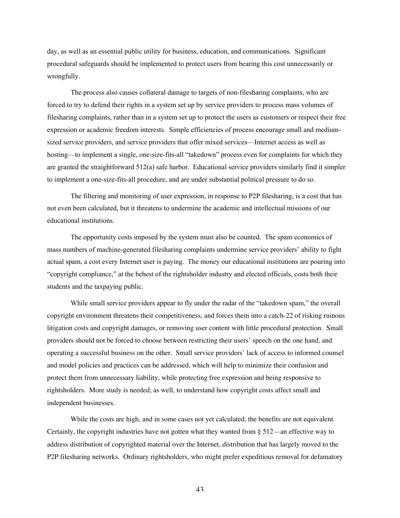day, as well as an essential public utility for business, education, and communications. Significant procedural safeguards should be implemented to protect users from bearing this cost unnecessarily or wrongfully.

The process also causes collateral damage to targets of non-filesharing complaints, who are forced to try to defend their rights in a system set up by service providers to process mass volumes of filesharing complaints, rather than in a system set up to protect the users as customers or respect their free expression or academic freedom interests. Simple efficiencies of process encourage small and mediumsized service providers, and service providers that offer mixed services—Internet access as well as hosting—to implement a single, one-size-fits-all "takedown" process even for complaints for which they are granted the straightforward 512(a) safe harbor. Educational service providers similarly find it simpler to implement a one-size-fits-all procedure, and are under substantial political pressure to do so.

The filtering and monitoring of user expression, in response to P2P filesharing, is a cost that has not even been calculated, but it threatens to undermine the academic and intellectual missions of our educational institutions.

The opportunity costs imposed by the system must also be counted. The spam economics of mass numbers of machine-generated filesharing complaints undermine service providers' ability to fight actual spam, a cost every Internet user is paying. The money our educational institutions are pouring into "copyright compliance," at the behest of the rightsholder industry and elected officials, costs both their students and the taxpaying public.

While small service providers appear to fly under the radar of the "takedown spam," the overall copyright environment threatens their competitiveness, and forces them into a catch-22 of risking ruinous litigation costs and copyright damages, or removing user content with little procedural protection. Small providers should not be forced to choose between restricting their users' speech on the one hand, and operating a successful business on the other. Small service providers' lack of access to informed counsel and model policies and practices can be addressed, which will help to minimize their confusion and protect them from unnecessary liability, while protecting free expression and being responsive to rightsholders. More study is needed, as well, to understand how copyright costs affect small and independent businesses.

While the costs are high, and in some cases not yet calculated, the benefits are not equivalent. Certainly, the copyright industries have not gotten what they wanted from  $\S 512$ —an effective way to address distribution of copyrighted material over the Internet, distribution that has largely moved to the P2P filesharing networks. Ordinary rightsholders, who might prefer expeditious removal for defamatory

43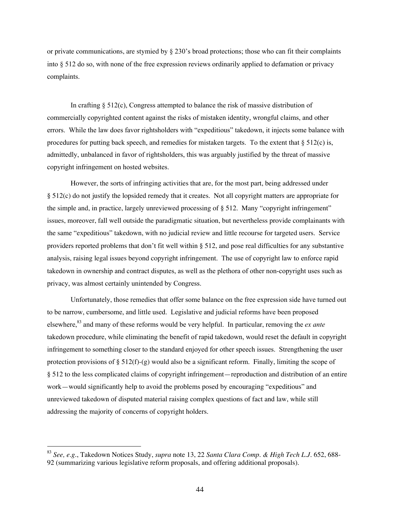or private communications, are stymied by  $\S 230$ 's broad protections; those who can fit their complaints into § 512 do so, with none of the free expression reviews ordinarily applied to defamation or privacy complaints.

In crafting  $\S 512(c)$ , Congress attempted to balance the risk of massive distribution of commercially copyrighted content against the risks of mistaken identity, wrongful claims, and other errors. While the law does favor rightsholders with "expeditious" takedown, it injects some balance with procedures for putting back speech, and remedies for mistaken targets. To the extent that  $\S 512(c)$  is, admittedly, unbalanced in favor of rightsholders, this was arguably justified by the threat of massive copyright infringement on hosted websites.

However, the sorts of infringing activities that are, for the most part, being addressed under § 512(c) do not justify the lopsided remedy that it creates. Not all copyright matters are appropriate for the simple and, in practice, largely unreviewed processing of § 512. Many "copyright infringement" issues, moreover, fall well outside the paradigmatic situation, but nevertheless provide complainants with the same "expeditious" takedown, with no judicial review and little recourse for targeted users. Service providers reported problems that don't fit well within § 512, and pose real difficulties for any substantive analysis, raising legal issues beyond copyright infringement. The use of copyright law to enforce rapid takedown in ownership and contract disputes, as well as the plethora of other non-copyright uses such as privacy, was almost certainly unintended by Congress.

Unfortunately, those remedies that offer some balance on the free expression side have turned out to be narrow, cumbersome, and little used. Legislative and judicial reforms have been proposed elsewhere,<sup>83</sup> and many of these reforms would be very helpful. In particular, removing the *ex ante* takedown procedure, while eliminating the benefit of rapid takedown, would reset the default in copyright infringement to something closer to the standard enjoyed for other speech issues. Strengthening the user protection provisions of  $\S 512(f)-(g)$  would also be a significant reform. Finally, limiting the scope of § 512 to the less complicated claims of copyright infringement—reproduction and distribution of an entire work—would significantly help to avoid the problems posed by encouraging "expeditious" and unreviewed takedown of disputed material raising complex questions of fact and law, while still addressing the majority of concerns of copyright holders.

<sup>83</sup> *See, e.g.*, Takedown Notices Study, *supra* note 13, 22 *Santa Clara Comp. & High Tech L.J.* 652, 688- 92 (summarizing various legislative reform proposals, and offering additional proposals).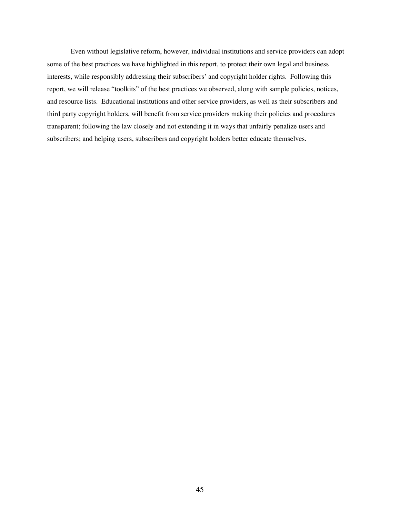Even without legislative reform, however, individual institutions and service providers can adopt some of the best practices we have highlighted in this report, to protect their own legal and business interests, while responsibly addressing their subscribers' and copyright holder rights. Following this report, we will release "toolkits" of the best practices we observed, along with sample policies, notices, and resource lists. Educational institutions and other service providers, as well as their subscribers and third party copyright holders, will benefit from service providers making their policies and procedures transparent; following the law closely and not extending it in ways that unfairly penalize users and subscribers; and helping users, subscribers and copyright holders better educate themselves.